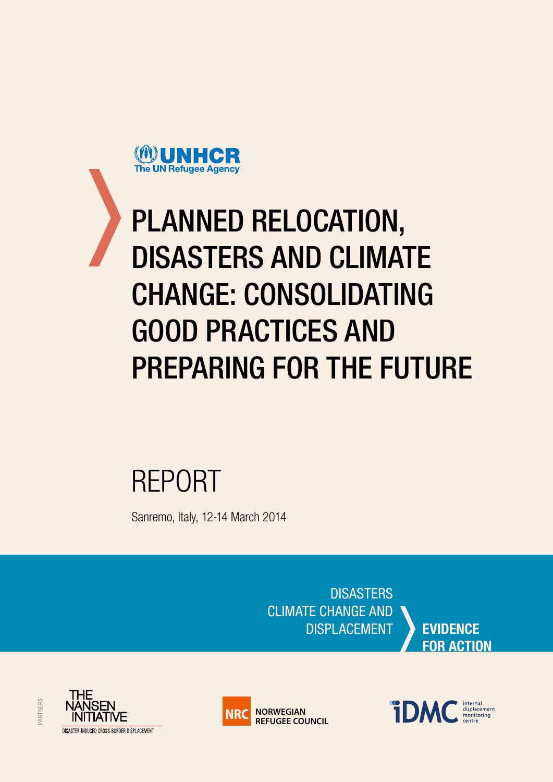

# PLANNED RELOCATION, DISASTERS AND CLIMATE CHANGE: CONSOLIDATING GOOD PRACTICES AND PREPARING FOR THE FUTURE

# REPORT

Sanremo, Italy, 12-14 March 2014

**DISASTERS** CLIMATE CHANGE AND DISPLACEMENT **EVIDENCE**

**FOR ACTION**



PARTNERS



internal<br>displacement<br>monitoring **iDM**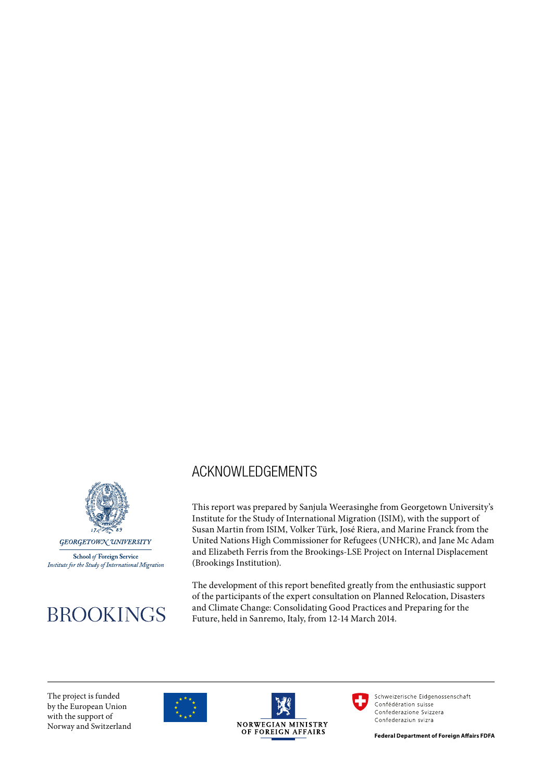

School of Foreign Service Institute for the Study of International Migration

# **BROOKINGS**

## ACKNOWLEDGEMENTS

This report was prepared by Sanjula Weerasinghe from Georgetown University's Institute for the Study of International Migration (ISIM), with the support of Susan Martin from ISIM, Volker Türk, José Riera, and Marine Franck from the United Nations High Commissioner for Refugees (UNHCR), and Jane Mc Adam and Elizabeth Ferris from the Brookings-LSE Project on Internal Displacement (Brookings Institution).

The development of this report benefited greatly from the enthusiastic support of the participants of the expert consultation on Planned Relocation, Disasters and Climate Change: Consolidating Good Practices and Preparing for the Future, held in Sanremo, Italy, from 12-14 March 2014.

The project is funded by the European Union with the support of Norway and Switzerland







Schweizerische Eidgenossenschaft Confédération suisse Confederazione Svizzera Confederaziun svizra

**Federal Department of Foreign Affairs FDFA**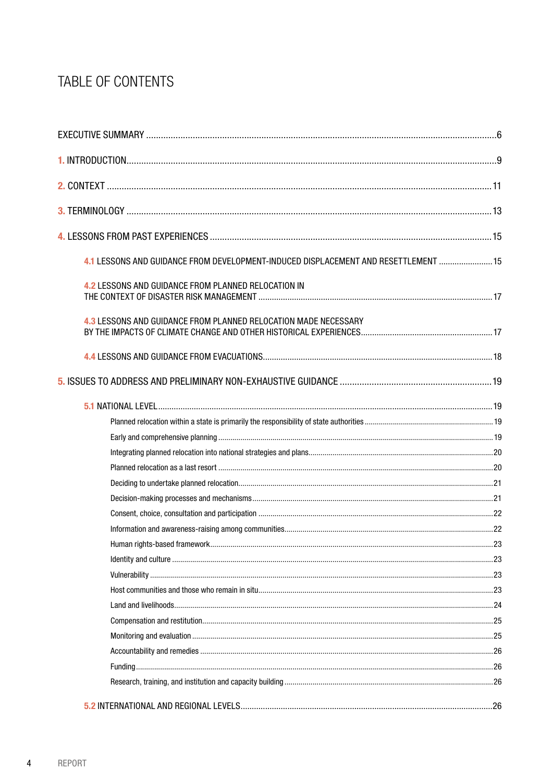# TABLE OF CONTENTS

| 4.1 LESSONS AND GUIDANCE FROM DEVELOPMENT-INDUCED DISPLACEMENT AND RESETTLEMENT  15 |  |
|-------------------------------------------------------------------------------------|--|
| 4.2 LESSONS AND GUIDANCE FROM PLANNED RELOCATION IN                                 |  |
| 4.3 LESSONS AND GUIDANCE FROM PLANNED RELOCATION MADE NECESSARY                     |  |
|                                                                                     |  |
|                                                                                     |  |
|                                                                                     |  |
|                                                                                     |  |
|                                                                                     |  |
|                                                                                     |  |
|                                                                                     |  |
|                                                                                     |  |
|                                                                                     |  |
|                                                                                     |  |
|                                                                                     |  |
|                                                                                     |  |
|                                                                                     |  |
|                                                                                     |  |
|                                                                                     |  |
|                                                                                     |  |
|                                                                                     |  |
|                                                                                     |  |
|                                                                                     |  |
|                                                                                     |  |
|                                                                                     |  |
|                                                                                     |  |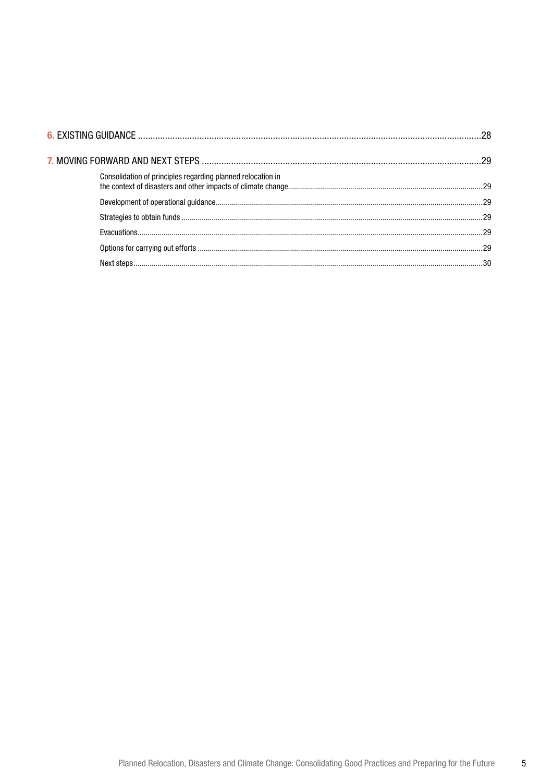| Consolidation of principles regarding planned relocation in |  |
|-------------------------------------------------------------|--|
|                                                             |  |
|                                                             |  |
|                                                             |  |
|                                                             |  |
|                                                             |  |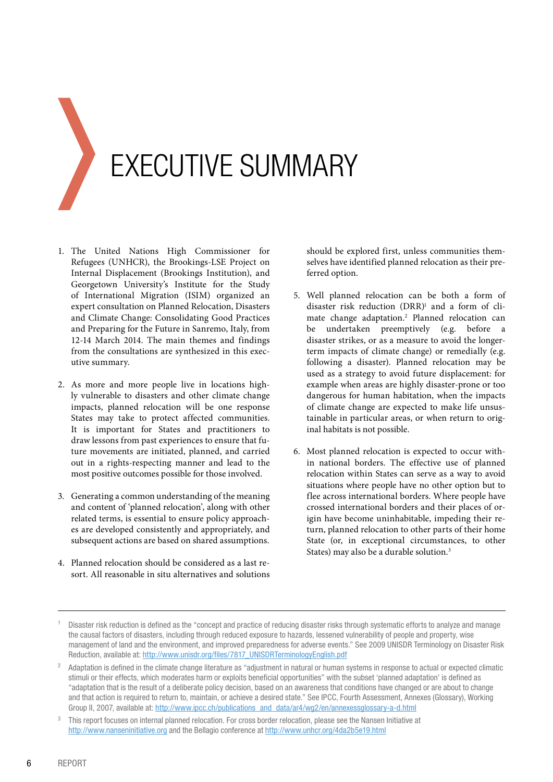<span id="page-5-0"></span>

# EXECUTIVE SUMMARY

- 1. The United Nations High Commissioner for Refugees (UNHCR), the Brookings-LSE Project on Internal Displacement (Brookings Institution), and Georgetown University's Institute for the Study of International Migration (ISIM) organized an expert consultation on Planned Relocation, Disasters and Climate Change: Consolidating Good Practices and Preparing for the Future in Sanremo, Italy, from 12-14 March 2014. The main themes and findings from the consultations are synthesized in this executive summary.
- 2. As more and more people live in locations highly vulnerable to disasters and other climate change impacts, planned relocation will be one response States may take to protect affected communities. It is important for States and practitioners to draw lessons from past experiences to ensure that future movements are initiated, planned, and carried out in a rights-respecting manner and lead to the most positive outcomes possible for those involved.
- 3. Generating a common understanding of the meaning and content of 'planned relocation', along with other related terms, is essential to ensure policy approaches are developed consistently and appropriately, and subsequent actions are based on shared assumptions.
- 4. Planned relocation should be considered as a last resort. All reasonable in situ alternatives and solutions

should be explored first, unless communities themselves have identified planned relocation as their preferred option.

- 5. Well planned relocation can be both a form of disaster risk reduction  $(DRR)^1$  and a form of climate change adaptation.2 Planned relocation can be undertaken preemptively (e.g. before a disaster strikes, or as a measure to avoid the longerterm impacts of climate change) or remedially (e.g. following a disaster). Planned relocation may be used as a strategy to avoid future displacement: for example when areas are highly disaster-prone or too dangerous for human habitation, when the impacts of climate change are expected to make life unsustainable in particular areas, or when return to original habitats is not possible.
- 6. Most planned relocation is expected to occur within national borders. The effective use of planned relocation within States can serve as a way to avoid situations where people have no other option but to flee across international borders. Where people have crossed international borders and their places of origin have become uninhabitable, impeding their return, planned relocation to other parts of their home State (or, in exceptional circumstances, to other States) may also be a durable solution.3

<sup>1</sup> Disaster risk reduction is defined as the "concept and practice of reducing disaster risks through systematic efforts to analyze and manage the causal factors of disasters, including through reduced exposure to hazards, lessened vulnerability of people and property, wise management of land and the environment, and improved preparedness for adverse events." See 2009 UNISDR Terminology on Disaster Risk Reduction, available at: http://www.unisdr.org/files/7817\_UNISDRTerminologyEnglish.pdf

<sup>&</sup>lt;sup>2</sup> Adaptation is defined in the climate change literature as "adjustment in natural or human systems in response to actual or expected climatic stimuli or their effects, which moderates harm or exploits beneficial opportunities" with the subset 'planned adaptation' is defined as "adaptation that is the result of a deliberate policy decision, based on an awareness that conditions have changed or are about to change and that action is required to return to, maintain, or achieve a desired state." See IPCC, Fourth Assessment, Annexes (Glossary), Working Group II, 2007, available at: http://www.ipcc.ch/publications\_and\_data/ar4/wg2/en/annexessglossary-a-d.html

<sup>3</sup> This report focuses on internal planned relocation. For cross border relocation, please see the Nansen Initiative at http://www.nanseninitiative.org and the Bellagio conference at http://www.unhcr.org/4da2b5e19.html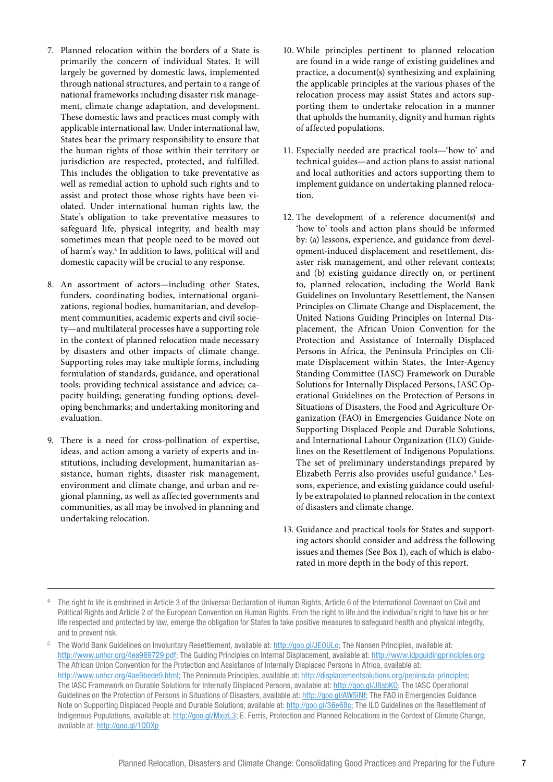- 7. Planned relocation within the borders of a State is primarily the concern of individual States. It will largely be governed by domestic laws, implemented through national structures, and pertain to a range of national frameworks including disaster risk management, climate change adaptation, and development. These domestic laws and practices must comply with applicable international law. Under international law, States bear the primary responsibility to ensure that the human rights of those within their territory or jurisdiction are respected, protected, and fulfilled. This includes the obligation to take preventative as well as remedial action to uphold such rights and to assist and protect those whose rights have been violated. Under international human rights law, the State's obligation to take preventative measures to safeguard life, physical integrity, and health may sometimes mean that people need to be moved out of harm's way.4 In addition to laws, political will and domestic capacity will be crucial to any response.
- 8. An assortment of actors—including other States, funders, coordinating bodies, international organizations, regional bodies, humanitarian, and development communities, academic experts and civil society—and multilateral processes have a supporting role in the context of planned relocation made necessary by disasters and other impacts of climate change. Supporting roles may take multiple forms, including formulation of standards, guidance, and operational tools; providing technical assistance and advice; capacity building; generating funding options; developing benchmarks; and undertaking monitoring and evaluation.
- 9. There is a need for cross-pollination of expertise, ideas, and action among a variety of experts and institutions, including development, humanitarian assistance, human rights, disaster risk management, environment and climate change, and urban and regional planning, as well as affected governments and communities, as all may be involved in planning and undertaking relocation.
- 10. While principles pertinent to planned relocation are found in a wide range of existing guidelines and practice, a document(s) synthesizing and explaining the applicable principles at the various phases of the relocation process may assist States and actors supporting them to undertake relocation in a manner that upholds the humanity, dignity and human rights of affected populations.
- 11. Especially needed are practical tools—'how to' and technical guides—and action plans to assist national and local authorities and actors supporting them to implement guidance on undertaking planned relocation.
- 12. The development of a reference document(s) and 'how to' tools and action plans should be informed by: (a) lessons, experience, and guidance from development-induced displacement and resettlement, disaster risk management, and other relevant contexts; and (b) existing guidance directly on, or pertinent to, planned relocation, including the World Bank Guidelines on Involuntary Resettlement, the Nansen Principles on Climate Change and Displacement, the United Nations Guiding Principles on Internal Displacement, the African Union Convention for the Protection and Assistance of Internally Displaced Persons in Africa, the Peninsula Principles on Climate Displacement within States, the Inter-Agency Standing Committee (IASC) Framework on Durable Solutions for Internally Displaced Persons, IASC Operational Guidelines on the Protection of Persons in Situations of Disasters, the Food and Agriculture Organization (FAO) in Emergencies Guidance Note on Supporting Displaced People and Durable Solutions, and International Labour Organization (ILO) Guidelines on the Resettlement of Indigenous Populations. The set of preliminary understandings prepared by Elizabeth Ferris also provides useful guidance.<sup>5</sup> Lessons, experience, and existing guidance could usefully be extrapolated to planned relocation in the context of disasters and climate change.
- 13. Guidance and practical tools for States and supporting actors should consider and address the following issues and themes (See Box 1), each of which is elaborated in more depth in the body of this report.

<sup>4</sup> The right to life is enshrined in Article 3 of the Universal Declaration of Human Rights, Article 6 of the International Covenant on Civil and Political Rights and Article 2 of the European Convention on Human Rights. From the right to life and the individual's right to have his or her life respected and protected by law, emerge the obligation for States to take positive measures to safeguard health and physical integrity, and to prevent risk.

The World Bank Guidelines on Involuntary Resettlement, available at: http://goo.gl/JEOULo; The Nansen Principles, available at: http://www.unhcr.org/4ea969729.pdf; The Guiding Principles on Internal Displacement, available at: http://www.idpguidingprinciples.org; The African Union Convention for the Protection and Assistance of Internally Displaced Persons in Africa, available at: http://www.unhcr.org/4ae9bede9.html; The Peninsula Principles, available at: http://displacementsolutions.org/peninsula-principles; The IASC Framework on Durable Solutions for Internally Displaced Persons, available at: http://goo.gl/J8sbKQ; The IASC Operational Guidelines on the Protection of Persons in Situations of Disasters, available at: http://goo.gl/AW5iNf; The FAO in Emergencies Guidance Note on Supporting Displaced People and Durable Solutions, available at: http://goo.gl/36e68c; The ILO Guidelines on the Resettlement of Indigenous Populations, available at: http://goo.gl/MxizL3; E. Ferris, Protection and Planned Relocations in the Context of Climate Change, available at: http://goo.gl/1QDXp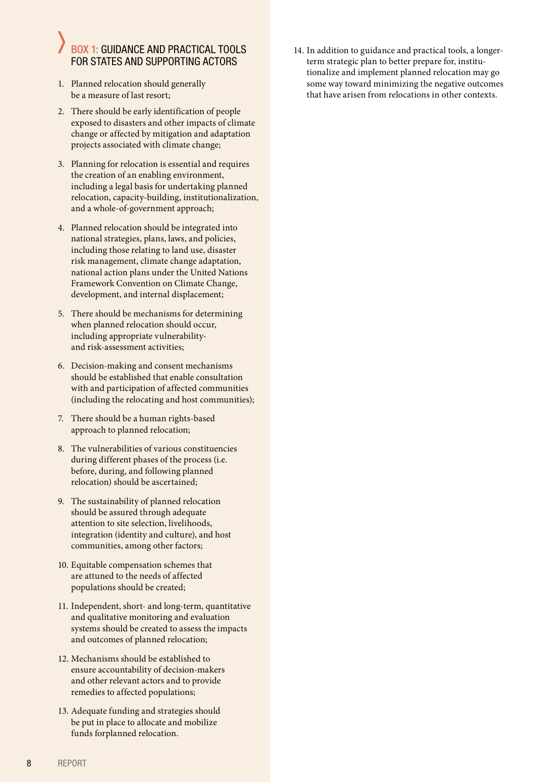#### BOX 1: GUIDANCE AND PRACTICAL TOOLS FOR STATES AND SUPPORTING ACTORS

- 1. Planned relocation should generally be a measure of last resort;
- 2. There should be early identification of people exposed to disasters and other impacts of climate change or affected by mitigation and adaptation projects associated with climate change;
- 3. Planning for relocation is essential and requires the creation of an enabling environment, including a legal basis for undertaking planned relocation, capacity-building, institutionalization, and a whole-of-government approach;
- 4. Planned relocation should be integrated into national strategies, plans, laws, and policies, including those relating to land use, disaster risk management, climate change adaptation, national action plans under the United Nations Framework Convention on Climate Change, development, and internal displacement;
- 5. There should be mechanisms for determining when planned relocation should occur, including appropriate vulnerabilityand risk-assessment activities;
- 6. Decision-making and consent mechanisms should be established that enable consultation with and participation of affected communities (including the relocating and host communities);
- 7. There should be a human rights-based approach to planned relocation;
- 8. The vulnerabilities of various constituencies during different phases of the process (i.e. before, during, and following planned relocation) should be ascertained;
- 9. The sustainability of planned relocation should be assured through adequate attention to site selection, livelihoods, integration (identity and culture), and host communities, among other factors;
- 10. Equitable compensation schemes that are attuned to the needs of affected populations should be created;
- 11. Independent, short- and long-term, quantitative and qualitative monitoring and evaluation systems should be created to assess the impacts and outcomes of planned relocation;
- 12. Mechanisms should be established to ensure accountability of decision-makers and other relevant actors and to provide remedies to affected populations;
- 13. Adequate funding and strategies should be put in place to allocate and mobilize funds forplanned relocation.

14. In addition to guidance and practical tools, a longerterm strategic plan to better prepare for, institutionalize and implement planned relocation may go some way toward minimizing the negative outcomes that have arisen from relocations in other contexts.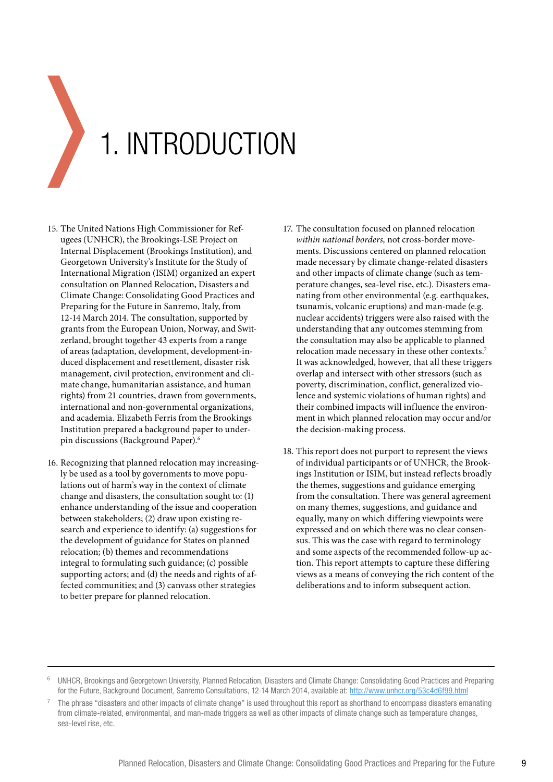<span id="page-8-0"></span>

- 15. The United Nations High Commissioner for Refugees (UNHCR), the Brookings-LSE Project on Internal Displacement (Brookings Institution), and Georgetown University's Institute for the Study of International Migration (ISIM) organized an expert consultation on Planned Relocation, Disasters and Climate Change: Consolidating Good Practices and Preparing for the Future in Sanremo, Italy, from 12-14 March 2014. The consultation, supported by grants from the European Union, Norway, and Switzerland, brought together 43 experts from a range of areas (adaptation, development, development-induced displacement and resettlement, disaster risk management, civil protection, environment and climate change, humanitarian assistance, and human rights) from 21 countries, drawn from governments, international and non-governmental organizations, and academia. Elizabeth Ferris from the Brookings Institution prepared a background paper to underpin discussions (Background Paper).6
- 16. Recognizing that planned relocation may increasingly be used as a tool by governments to move populations out of harm's way in the context of climate change and disasters, the consultation sought to: (1) enhance understanding of the issue and cooperation between stakeholders; (2) draw upon existing research and experience to identify: (a) suggestions for the development of guidance for States on planned relocation; (b) themes and recommendations integral to formulating such guidance; (c) possible supporting actors; and (d) the needs and rights of affected communities; and (3) canvass other strategies to better prepare for planned relocation.
- 17. The consultation focused on planned relocation *within national borders,* not cross-border movements. Discussions centered on planned relocation made necessary by climate change-related disasters and other impacts of climate change (such as temperature changes, sea-level rise, etc.). Disasters emanating from other environmental (e.g. earthquakes, tsunamis, volcanic eruptions) and man-made (e.g. nuclear accidents) triggers were also raised with the understanding that any outcomes stemming from the consultation may also be applicable to planned relocation made necessary in these other contexts.7 It was acknowledged, however, that all these triggers overlap and intersect with other stressors (such as poverty, discrimination, conflict, generalized violence and systemic violations of human rights) and their combined impacts will influence the environment in which planned relocation may occur and/or the decision-making process.
- 18. This report does not purport to represent the views of individual participants or of UNHCR, the Brookings Institution or ISIM, but instead reflects broadly the themes, suggestions and guidance emerging from the consultation. There was general agreement on many themes, suggestions, and guidance and equally, many on which differing viewpoints were expressed and on which there was no clear consensus. This was the case with regard to terminology and some aspects of the recommended follow-up action. This report attempts to capture these differing views as a means of conveying the rich content of the deliberations and to inform subsequent action.

<sup>6</sup> UNHCR, Brookings and Georgetown University, Planned Relocation, Disasters and Climate Change: Consolidating Good Practices and Preparing for the Future, Background Document, Sanremo Consultations, 12-14 March 2014, available at: http://www.unhcr.org/53c4d6f99.html

<sup>7</sup> The phrase "disasters and other impacts of climate change" is used throughout this report as shorthand to encompass disasters emanating from climate-related, environmental, and man-made triggers as well as other impacts of climate change such as temperature changes, sea-level rise, etc.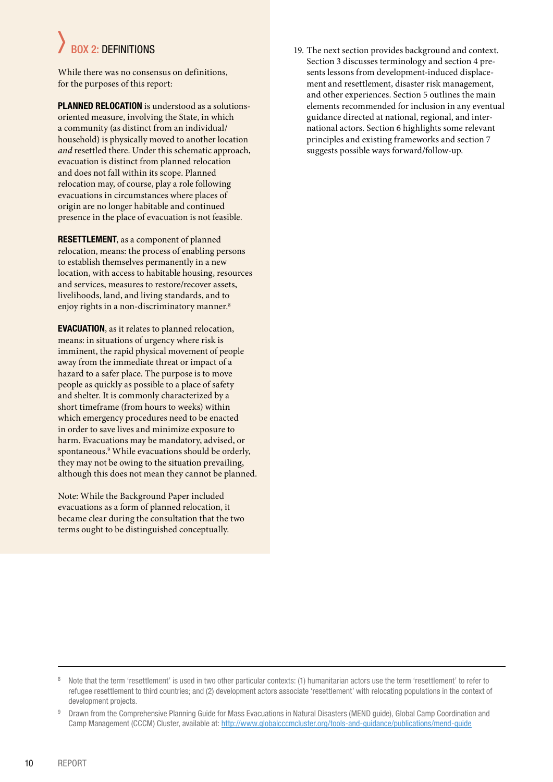# BOX 2: DEFINITIONS

While there was no consensus on definitions, for the purposes of this report:

**PLANNED RELOCATION** is understood as a solutionsoriented measure, involving the State, in which a community (as distinct from an individual/ household) is physically moved to another location *and* resettled there. Under this schematic approach, evacuation is distinct from planned relocation and does not fall within its scope. Planned relocation may, of course, play a role following evacuations in circumstances where places of origin are no longer habitable and continued presence in the place of evacuation is not feasible.

**RESETTLEMENT**, as a component of planned relocation, means: the process of enabling persons to establish themselves permanently in a new location, with access to habitable housing, resources and services, measures to restore/recover assets, livelihoods, land, and living standards, and to enjoy rights in a non-discriminatory manner.<sup>8</sup>

**EVACUATION**, as it relates to planned relocation, means: in situations of urgency where risk is imminent, the rapid physical movement of people away from the immediate threat or impact of a hazard to a safer place. The purpose is to move people as quickly as possible to a place of safety and shelter. It is commonly characterized by a short timeframe (from hours to weeks) within which emergency procedures need to be enacted in order to save lives and minimize exposure to harm. Evacuations may be mandatory, advised, or spontaneous.9 While evacuations should be orderly, they may not be owing to the situation prevailing, although this does not mean they cannot be planned.

Note: While the Background Paper included evacuations as a form of planned relocation, it became clear during the consultation that the two terms ought to be distinguished conceptually.

19. The next section provides background and context. Section 3 discusses terminology and section 4 presents lessons from development-induced displacement and resettlement, disaster risk management, and other experiences. Section 5 outlines the main elements recommended for inclusion in any eventual guidance directed at national, regional, and international actors. Section 6 highlights some relevant principles and existing frameworks and section 7 suggests possible ways forward/follow-up.

<sup>&</sup>lt;sup>8</sup> Note that the term 'resettlement' is used in two other particular contexts: (1) humanitarian actors use the term 'resettlement' to refer to refugee resettlement to third countries; and (2) development actors associate 'resettlement' with relocating populations in the context of development projects.

<sup>9</sup> Drawn from the Comprehensive Planning Guide for Mass Evacuations in Natural Disasters (MEND guide), Global Camp Coordination and Camp Management (CCCM) Cluster, available at: http://www.globalcccmcluster.org/tools-and-guidance/publications/mend-guide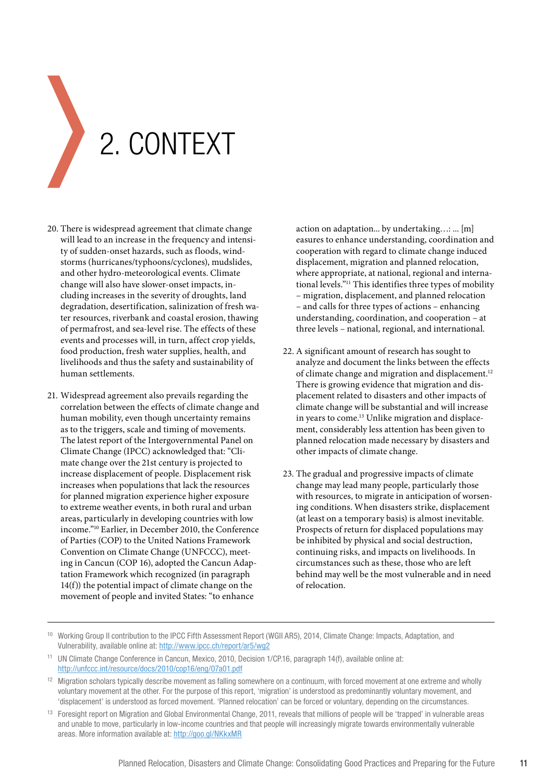<span id="page-10-0"></span>

- 20. There is widespread agreement that climate change will lead to an increase in the frequency and intensity of sudden-onset hazards, such as floods, windstorms (hurricanes/typhoons/cyclones), mudslides, and other hydro-meteorological events. Climate change will also have slower-onset impacts, including increases in the severity of droughts, land degradation, desertification, salinization of fresh water resources, riverbank and coastal erosion, thawing of permafrost, and sea-level rise. The effects of these events and processes will, in turn, affect crop yields, food production, fresh water supplies, health, and livelihoods and thus the safety and sustainability of human settlements.
- 21. Widespread agreement also prevails regarding the correlation between the effects of climate change and human mobility, even though uncertainty remains as to the triggers, scale and timing of movements. The latest report of the Intergovernmental Panel on Climate Change (IPCC) acknowledged that: "Climate change over the 21st century is projected to increase displacement of people. Displacement risk increases when populations that lack the resources for planned migration experience higher exposure to extreme weather events, in both rural and urban areas, particularly in developing countries with low income."10 Earlier, in December 2010, the Conference of Parties (COP) to the United Nations Framework Convention on Climate Change (UNFCCC), meeting in Cancun (COP 16), adopted the Cancun Adaptation Framework which recognized (in paragraph 14(f)) the potential impact of climate change on the movement of people and invited States: "to enhance

action on adaptation... by undertaking…: ... [m] easures to enhance understanding, coordination and cooperation with regard to climate change induced displacement, migration and planned relocation, where appropriate, at national, regional and international levels."11 This identifies three types of mobility – migration, displacement, and planned relocation – and calls for three types of actions – enhancing understanding, coordination, and cooperation – at three levels – national, regional, and international.

- 22. A significant amount of research has sought to analyze and document the links between the effects of climate change and migration and displacement.<sup>12</sup> There is growing evidence that migration and displacement related to disasters and other impacts of climate change will be substantial and will increase in years to come.<sup>13</sup> Unlike migration and displacement, considerably less attention has been given to planned relocation made necessary by disasters and other impacts of climate change.
- 23. The gradual and progressive impacts of climate change may lead many people, particularly those with resources, to migrate in anticipation of worsening conditions. When disasters strike, displacement (at least on a temporary basis) is almost inevitable. Prospects of return for displaced populations may be inhibited by physical and social destruction, continuing risks, and impacts on livelihoods. In circumstances such as these, those who are left behind may well be the most vulnerable and in need of relocation.

<sup>10</sup> Working Group II contribution to the IPCC Fifth Assessment Report (WGII AR5), 2014, Climate Change: Impacts, Adaptation, and Vulnerability, available online at: http://www.ipcc.ch/report/ar5/wg2

<sup>&</sup>lt;sup>11</sup> UN Climate Change Conference in Cancun, Mexico, 2010, Decision 1/CP.16, paragraph 14(f), available online at: http://unfccc.int/resource/docs/2010/cop16/eng/07a01.pdf

<sup>&</sup>lt;sup>12</sup> Migration scholars typically describe movement as falling somewhere on a continuum, with forced movement at one extreme and wholly voluntary movement at the other. For the purpose of this report, 'migration' is understood as predominantly voluntary movement, and 'displacement' is understood as forced movement. 'Planned relocation' can be forced or voluntary, depending on the circumstances.

<sup>&</sup>lt;sup>13</sup> Foresight report on Migration and Global Environmental Change, 2011, reveals that millions of people will be 'trapped' in vulnerable areas and unable to move, particularly in low-income countries and that people will increasingly migrate towards environmentally vulnerable areas. More information available at: http://goo.gl/NKkxMR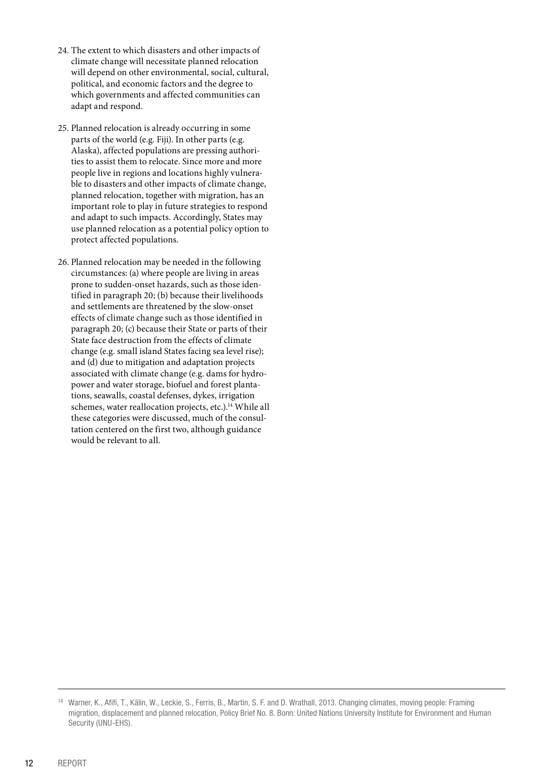- 24. The extent to which disasters and other impacts of climate change will necessitate planned relocation will depend on other environmental, social, cultural, political, and economic factors and the degree to which governments and affected communities can adapt and respond.
- 25. Planned relocation is already occurring in some parts of the world (e.g. Fiji). In other parts (e.g. Alaska), affected populations are pressing authorities to assist them to relocate. Since more and more people live in regions and locations highly vulnerable to disasters and other impacts of climate change, planned relocation, together with migration, has an important role to play in future strategies to respond and adapt to such impacts. Accordingly, States may use planned relocation as a potential policy option to protect affected populations.
- 26. Planned relocation may be needed in the following circumstances: (a) where people are living in areas prone to sudden-onset hazards, such as those identified in paragraph 20; (b) because their livelihoods and settlements are threatened by the slow-onset effects of climate change such as those identified in paragraph 20; (c) because their State or parts of their State face destruction from the effects of climate change (e.g. small island States facing sea level rise); and (d) due to mitigation and adaptation projects associated with climate change (e.g. dams for hydropower and water storage, biofuel and forest plantations, seawalls, coastal defenses, dykes, irrigation schemes, water reallocation projects, etc.).<sup>14</sup> While all these categories were discussed, much of the consultation centered on the first two, although guidance would be relevant to all.

<sup>14</sup> Warner, K., Afifi, T., Kälin, W., Leckie, S., Ferris, B., Martin, S. F. and D. Wrathall, 2013. Changing climates, moving people: Framing migration, displacement and planned relocation, Policy Brief No. 8. Bonn: United Nations University Institute for Environment and Human Security (UNU-EHS).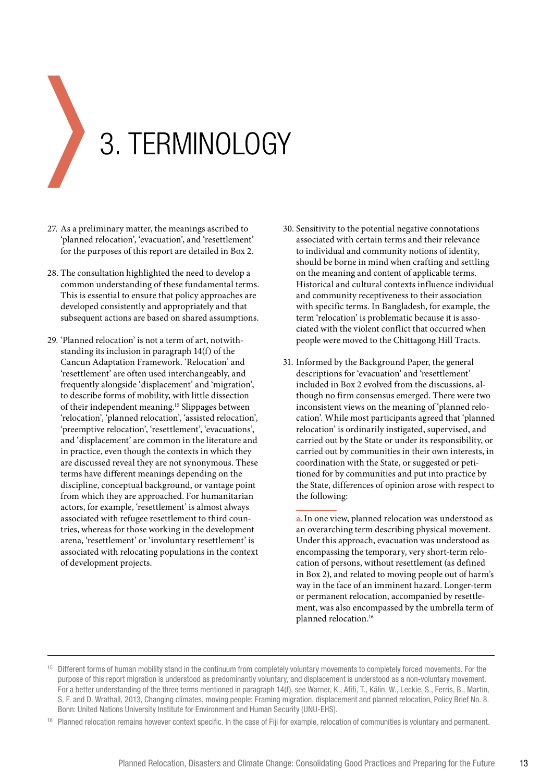<span id="page-12-0"></span>

- 27. As a preliminary matter, the meanings ascribed to 'planned relocation', 'evacuation', and 'resettlement' for the purposes of this report are detailed in Box 2.
- 28. The consultation highlighted the need to develop a common understanding of these fundamental terms. This is essential to ensure that policy approaches are developed consistently and appropriately and that subsequent actions are based on shared assumptions.
- 29. 'Planned relocation' is not a term of art, notwithstanding its inclusion in paragraph 14(f) of the Cancun Adaptation Framework. 'Relocation' and 'resettlement' are often used interchangeably, and frequently alongside 'displacement' and 'migration', to describe forms of mobility, with little dissection of their independent meaning.15 Slippages between 'relocation', 'planned relocation', 'assisted relocation', 'preemptive relocation', 'resettlement', 'evacuations', and 'displacement' are common in the literature and in practice, even though the contexts in which they are discussed reveal they are not synonymous. These terms have different meanings depending on the discipline, conceptual background, or vantage point from which they are approached. For humanitarian actors, for example, 'resettlement' is almost always associated with refugee resettlement to third countries, whereas for those working in the development arena, 'resettlement' or 'involuntary resettlement' is associated with relocating populations in the context of development projects.
- 30. Sensitivity to the potential negative connotations associated with certain terms and their relevance to individual and community notions of identity, should be borne in mind when crafting and settling on the meaning and content of applicable terms. Historical and cultural contexts influence individual and community receptiveness to their association with specific terms. In Bangladesh, for example, the term 'relocation' is problematic because it is associated with the violent conflict that occurred when people were moved to the Chittagong Hill Tracts.
- 31. Informed by the Background Paper, the general descriptions for 'evacuation' and 'resettlement' included in Box 2 evolved from the discussions, although no firm consensus emerged. There were two inconsistent views on the meaning of 'planned relocation'. While most participants agreed that 'planned relocation' is ordinarily instigated, supervised, and carried out by the State or under its responsibility, or carried out by communities in their own interests, in coordination with the State, or suggested or petitioned for by communities and put into practice by the State, differences of opinion arose with respect to the following:

**a.**In one view, planned relocation was understood as an overarching term describing physical movement. Under this approach, evacuation was understood as encompassing the temporary, very short-term relocation of persons, without resettlement (as defined in Box 2), and related to moving people out of harm's way in the face of an imminent hazard. Longer-term or permanent relocation, accompanied by resettlement, was also encompassed by the umbrella term of planned relocation.16

<sup>&</sup>lt;sup>15</sup> Different forms of human mobility stand in the continuum from completely voluntary movements to completely forced movements. For the purpose of this report migration is understood as predominantly voluntary, and displacement is understood as a non-voluntary movement. For a better understanding of the three terms mentioned in paragraph 14(f), see Warner, K., Afifi, T., Kälin, W., Leckie, S., Ferris, B., Martin, S. F. and D. Wrathall, 2013, Changing climates, moving people: Framing migration, displacement and planned relocation, Policy Brief No. 8. Bonn: United Nations University Institute for Environment and Human Security (UNU-EHS).

<sup>&</sup>lt;sup>16</sup> Planned relocation remains however context specific. In the case of Fiji for example, relocation of communities is voluntary and permanent.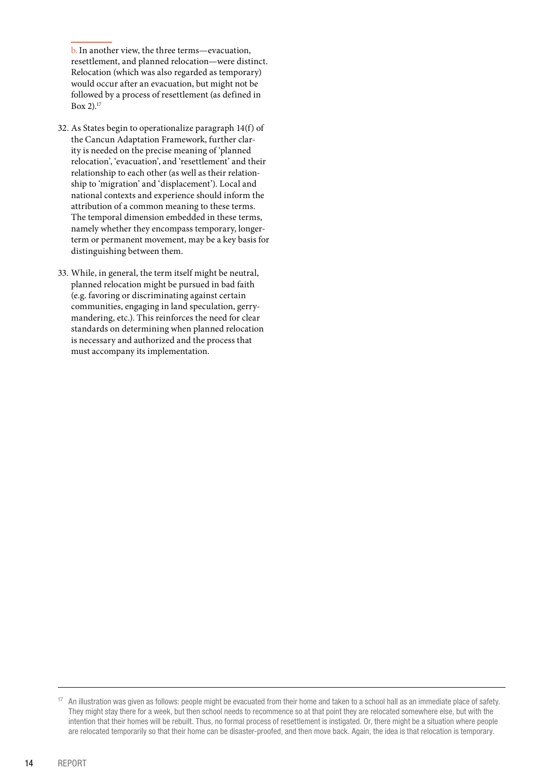b.In another view, the three terms—evacuation, resettlement, and planned relocation—were distinct. Relocation (which was also regarded as temporary) would occur after an evacuation, but might not be followed by a process of resettlement (as defined in Box 2). $17$ 

- 32. As States begin to operationalize paragraph 14(f) of the Cancun Adaptation Framework, further clarity is needed on the precise meaning of 'planned relocation', 'evacuation', and 'resettlement' and their relationship to each other (as well as their relationship to 'migration' and 'displacement'). Local and national contexts and experience should inform the attribution of a common meaning to these terms. The temporal dimension embedded in these terms, namely whether they encompass temporary, longerterm or permanent movement, may be a key basis for distinguishing between them.
- 33. While, in general, the term itself might be neutral, planned relocation might be pursued in bad faith (e.g. favoring or discriminating against certain communities, engaging in land speculation, gerrymandering, etc.). This reinforces the need for clear standards on determining when planned relocation is necessary and authorized and the process that must accompany its implementation.

<sup>&</sup>lt;sup>17</sup> An illustration was given as follows: people might be evacuated from their home and taken to a school hall as an immediate place of safety. They might stay there for a week, but then school needs to recommence so at that point they are relocated somewhere else, but with the intention that their homes will be rebuilt. Thus, no formal process of resettlement is instigated. Or, there might be a situation where people are relocated temporarily so that their home can be disaster-proofed, and then move back. Again, the idea is that relocation is temporary.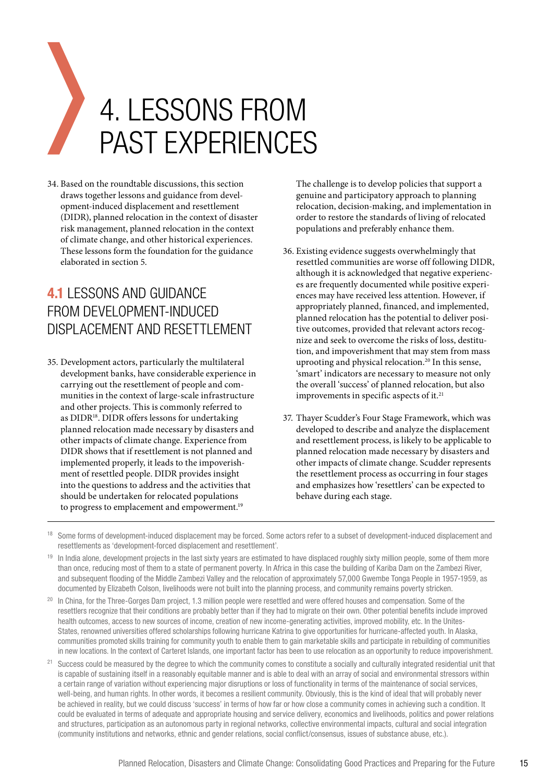# <span id="page-14-0"></span>4. LESSONS FROM PAST EXPERIENCES

34. Based on the roundtable discussions, this section draws together lessons and guidance from development-induced displacement and resettlement (DIDR), planned relocation in the context of disaster risk management, planned relocation in the context of climate change, and other historical experiences. These lessons form the foundation for the guidance elaborated in section 5.

### **4.1** LESSONS AND GUIDANCE FROM DEVELOPMENT-INDUCED DISPLACEMENT AND RESETTLEMENT

35. Development actors, particularly the multilateral development banks, have considerable experience in carrying out the resettlement of people and communities in the context of large-scale infrastructure and other projects. This is commonly referred to as DIDR<sup>18</sup>. DIDR offers lessons for undertaking planned relocation made necessary by disasters and other impacts of climate change. Experience from DIDR shows that if resettlement is not planned and implemented properly, it leads to the impoverishment of resettled people. DIDR provides insight into the questions to address and the activities that should be undertaken for relocated populations to progress to emplacement and empowerment.<sup>19</sup>

The challenge is to develop policies that support a genuine and participatory approach to planning relocation, decision-making, and implementation in order to restore the standards of living of relocated populations and preferably enhance them.

- 36. Existing evidence suggests overwhelmingly that resettled communities are worse off following DIDR, although it is acknowledged that negative experiences are frequently documented while positive experiences may have received less attention. However, if appropriately planned, financed, and implemented, planned relocation has the potential to deliver positive outcomes, provided that relevant actors recognize and seek to overcome the risks of loss, destitution, and impoverishment that may stem from mass uprooting and physical relocation.<sup>20</sup> In this sense, 'smart' indicators are necessary to measure not only the overall 'success' of planned relocation, but also improvements in specific aspects of it.<sup>21</sup>
- 37. Thayer Scudder's Four Stage Framework, which was developed to describe and analyze the displacement and resettlement process, is likely to be applicable to planned relocation made necessary by disasters and other impacts of climate change. Scudder represents the resettlement process as occurring in four stages and emphasizes how 'resettlers' can be expected to behave during each stage.
- <sup>18</sup> Some forms of development-induced displacement may be forced. Some actors refer to a subset of development-induced displacement and resettlements as 'development-forced displacement and resettlement'.
- <sup>19</sup> In India alone, development projects in the last sixty years are estimated to have displaced roughly sixty million people, some of them more than once, reducing most of them to a state of permanent poverty. In Africa in this case the building of Kariba Dam on the Zambezi River, and subsequent flooding of the Middle Zambezi Valley and the relocation of approximately 57,000 Gwembe Tonga People in 1957-1959, as documented by Elizabeth Colson, livelihoods were not built into the planning process, and community remains poverty stricken.
- <sup>20</sup> In China, for the Three-Gorges Dam project, 1.3 million people were resettled and were offered houses and compensation. Some of the resettlers recognize that their conditions are probably better than if they had to migrate on their own. Other potential benefits include improved health outcomes, access to new sources of income, creation of new income-generating activities, improved mobility, etc. In the Unites-States, renowned universities offered scholarships following hurricane Katrina to give opportunities for hurricane-affected youth. In Alaska, communities promoted skills training for community youth to enable them to gain marketable skills and participate in rebuilding of communities in new locations. In the context of Carteret Islands, one important factor has been to use relocation as an opportunity to reduce impoverishment.
- <sup>21</sup> Success could be measured by the degree to which the community comes to constitute a socially and culturally integrated residential unit that is capable of sustaining itself in a reasonably equitable manner and is able to deal with an array of social and environmental stressors within a certain range of variation without experiencing major disruptions or loss of functionality in terms of the maintenance of social services, well-being, and human rights. In other words, it becomes a resilient community. Obviously, this is the kind of ideal that will probably never be achieved in reality, but we could discuss 'success' in terms of how far or how close a community comes in achieving such a condition. It could be evaluated in terms of adequate and appropriate housing and service delivery, economics and livelihoods, politics and power relations and structures, participation as an autonomous party in regional networks, collective environmental impacts, cultural and social integration (community institutions and networks, ethnic and gender relations, social conflict/consensus, issues of substance abuse, etc.).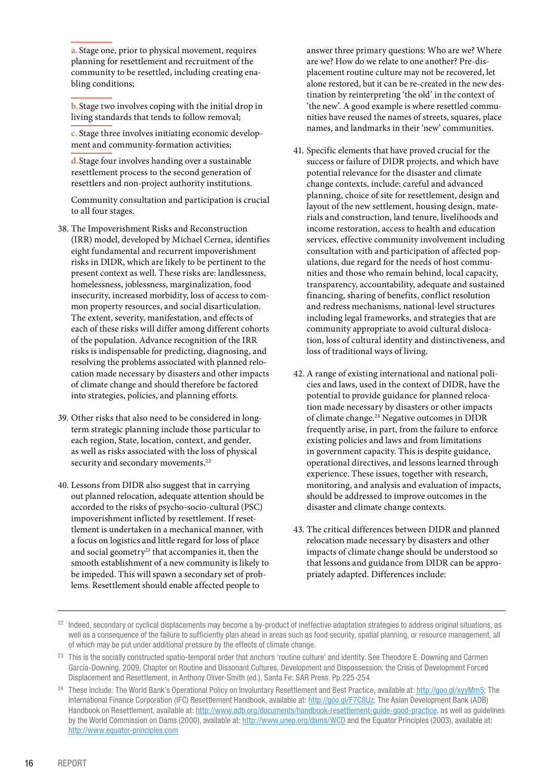**a.**Stage one, prior to physical movement, requires planning for resettlement and recruitment of the community to be resettled, including creating enabling conditions;

**b.**Stage two involves coping with the initial drop in living standards that tends to follow removal;

**c.** Stage three involves initiating economic development and community-formation activities;

**d.**Stage four involves handing over a sustainable resettlement process to the second generation of resettlers and non-project authority institutions.

Community consultation and participation is crucial to all four stages.

- 38. The Impoverishment Risks and Reconstruction (IRR) model, developed by Michael Cernea, identifies eight fundamental and recurrent impoverishment risks in DIDR, which are likely to be pertinent to the present context as well. These risks are: landlessness, homelessness, joblessness, marginalization, food insecurity, increased morbidity, loss of access to common property resources, and social disarticulation. The extent, severity, manifestation, and effects of each of these risks will differ among different cohorts of the population. Advance recognition of the IRR risks is indispensable for predicting, diagnosing, and resolving the problems associated with planned relocation made necessary by disasters and other impacts of climate change and should therefore be factored into strategies, policies, and planning efforts.
- 39. Other risks that also need to be considered in longterm strategic planning include those particular to each region, State, location, context, and gender, as well as risks associated with the loss of physical security and secondary movements.<sup>22</sup>
- 40. Lessons from DIDR also suggest that in carrying out planned relocation, adequate attention should be accorded to the risks of psycho-socio-cultural (PSC) impoverishment inflicted by resettlement. If resettlement is undertaken in a mechanical manner, with a focus on logistics and little regard for loss of place and social geometry<sup>23</sup> that accompanies it, then the smooth establishment of a new community is likely to be impeded. This will spawn a secondary set of problems. Resettlement should enable affected people to

answer three primary questions: Who are we? Where are we? How do we relate to one another? Pre-displacement routine culture may not be recovered, let alone restored, but it can be re-created in the new destination by reinterpreting 'the old' in the context of 'the new'. A good example is where resettled communities have reused the names of streets, squares, place names, and landmarks in their 'new' communities.

- 41. Specific elements that have proved crucial for the success or failure of DIDR projects, and which have potential relevance for the disaster and climate change contexts, include: careful and advanced planning, choice of site for resettlement, design and layout of the new settlement, housing design, materials and construction, land tenure, livelihoods and income restoration, access to health and education services, effective community involvement including consultation with and participation of affected populations, due regard for the needs of host communities and those who remain behind, local capacity, transparency, accountability, adequate and sustained financing, sharing of benefits, conflict resolution and redress mechanisms, national-level structures including legal frameworks, and strategies that are community appropriate to avoid cultural dislocation, loss of cultural identity and distinctiveness, and loss of traditional ways of living.
- 42. A range of existing international and national policies and laws, used in the context of DIDR, have the potential to provide guidance for planned relocation made necessary by disasters or other impacts of climate change.24 Negative outcomes in DIDR frequently arise, in part, from the failure to enforce existing policies and laws and from limitations in government capacity. This is despite guidance, operational directives, and lessons learned through experience. These issues, together with research, monitoring, and analysis and evaluation of impacts, should be addressed to improve outcomes in the disaster and climate change contexts.
- 43. The critical differences between DIDR and planned relocation made necessary by disasters and other impacts of climate change should be understood so that lessons and guidance from DIDR can be appropriately adapted. Differences include:

<sup>22</sup> Indeed, secondary or cyclical displacements may become a by-product of ineffective adaptation strategies to address original situations, as well as a consequence of the failure to sufficiently plan ahead in areas such as food security, spatial planning, or resource management, all of which may be put under additional pressure by the effects of climate change.

<sup>&</sup>lt;sup>23</sup> This is the socially constructed spatio-temporal order that anchors 'routine culture' and identity. See Theodore E. Downing and Carmen Garcia-Downing, 2009, Chapter on Routine and Dissonant Cultures, Development and Dispossession: the Crisis of Development Forced Displacement and Resettlement, in Anthony Oliver-Smith (ed.), Santa Fe: SAR Press. Pp.225-254

<sup>&</sup>lt;sup>24</sup> These include: The World Bank's Operational Policy on Involuntary Resettlement and Best Practice, available at: http://goo.gl/xyyMm5; The International Finance Corporation (IFC) Resettlement Handbook, available at: http://goo.gl/F7C8Uz; The Asian Development Bank (ADB) Handbook on Resettlement, available at: http://www.adb.org/documents/handbook-resettlement-guide-good-practice, as well as guidelines by the World Commission on Dams (2000), available at: http://www.unep.org/dams/WCD and the Equator Principles (2003), available at: http://www.equator-principles.com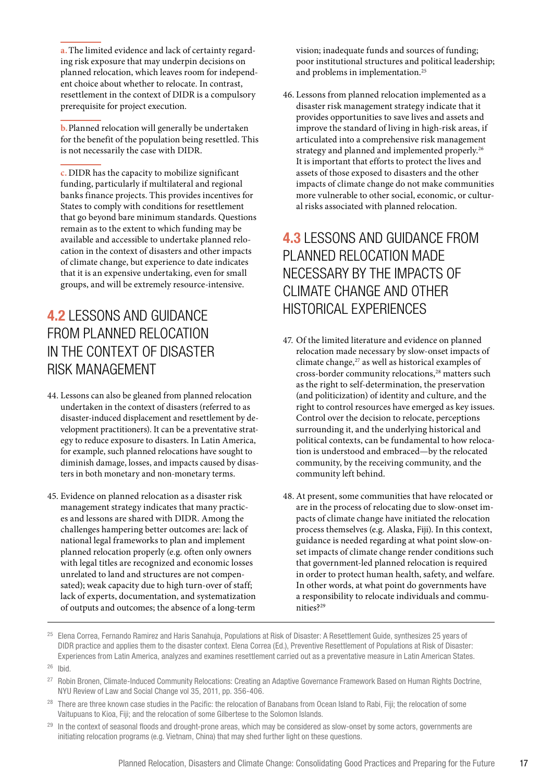<span id="page-16-0"></span>**a.**The limited evidence and lack of certainty regarding risk exposure that may underpin decisions on planned relocation, which leaves room for independent choice about whether to relocate. In contrast, resettlement in the context of DIDR is a compulsory prerequisite for project execution.

**b.**Planned relocation will generally be undertaken for the benefit of the population being resettled. This is not necessarily the case with DIDR.

**c.** DIDR has the capacity to mobilize significant funding, particularly if multilateral and regional banks finance projects. This provides incentives for States to comply with conditions for resettlement that go beyond bare minimum standards. Questions remain as to the extent to which funding may be available and accessible to undertake planned relocation in the context of disasters and other impacts of climate change, but experience to date indicates that it is an expensive undertaking, even for small groups, and will be extremely resource-intensive.

### **4.2** LESSONS AND GUIDANCE FROM PLANNED RELOCATION IN THE CONTEXT OF DISASTER RISK MANAGEMENT

- 44. Lessons can also be gleaned from planned relocation undertaken in the context of disasters (referred to as disaster-induced displacement and resettlement by development practitioners). It can be a preventative strategy to reduce exposure to disasters. In Latin America, for example, such planned relocations have sought to diminish damage, losses, and impacts caused by disasters in both monetary and non-monetary terms.
- 45. Evidence on planned relocation as a disaster risk management strategy indicates that many practices and lessons are shared with DIDR. Among the challenges hampering better outcomes are: lack of national legal frameworks to plan and implement planned relocation properly (e.g. often only owners with legal titles are recognized and economic losses unrelated to land and structures are not compensated); weak capacity due to high turn-over of staff; lack of experts, documentation, and systematization of outputs and outcomes; the absence of a long-term

vision; inadequate funds and sources of funding; poor institutional structures and political leadership; and problems in implementation.<sup>25</sup>

46. Lessons from planned relocation implemented as a disaster risk management strategy indicate that it provides opportunities to save lives and assets and improve the standard of living in high-risk areas, if articulated into a comprehensive risk management strategy and planned and implemented properly.<sup>26</sup> It is important that efforts to protect the lives and assets of those exposed to disasters and the other impacts of climate change do not make communities more vulnerable to other social, economic, or cultural risks associated with planned relocation.

### **4.3** LESSONS AND GUIDANCE FROM PLANNED RELOCATION MADE NECESSARY BY THE IMPACTS OF CLIMATE CHANGE AND OTHER HISTORICAL EXPERIENCES

- 47. Of the limited literature and evidence on planned relocation made necessary by slow-onset impacts of climate change,<sup>27</sup> as well as historical examples of cross-border community relocations,<sup>28</sup> matters such as the right to self-determination, the preservation (and politicization) of identity and culture, and the right to control resources have emerged as key issues. Control over the decision to relocate, perceptions surrounding it, and the underlying historical and political contexts, can be fundamental to how relocation is understood and embraced—by the relocated community, by the receiving community, and the community left behind.
- 48. At present, some communities that have relocated or are in the process of relocating due to slow-onset impacts of climate change have initiated the relocation process themselves (e.g. Alaska, Fiji). In this context, guidance is needed regarding at what point slow-onset impacts of climate change render conditions such that government-led planned relocation is required in order to protect human health, safety, and welfare. In other words, at what point do governments have a responsibility to relocate individuals and communities?<sup>29</sup>

- <sup>28</sup> There are three known case studies in the Pacific: the relocation of Banabans from Ocean Island to Rabi, Fiji; the relocation of some Vaitupuans to Kioa, Fiji; and the relocation of some Gilbertese to the Solomon Islands.
- <sup>29</sup> In the context of seasonal floods and drought-prone areas, which may be considered as slow-onset by some actors, governments are initiating relocation programs (e.g. Vietnam, China) that may shed further light on these questions.

<sup>&</sup>lt;sup>25</sup> Elena Correa, Fernando Ramirez and Haris Sanahuja, Populations at Risk of Disaster: A Resettlement Guide, synthesizes 25 years of DIDR practice and applies them to the disaster context. Elena Correa (Ed.), Preventive Resettlement of Populations at Risk of Disaster: Experiences from Latin America, analyzes and examines resettlement carried out as a preventative measure in Latin American States.

<sup>26</sup> Ibid.

<sup>&</sup>lt;sup>27</sup> Robin Bronen, Climate-Induced Community Relocations: Creating an Adaptive Governance Framework Based on Human Rights Doctrine, NYU Review of Law and Social Change vol 35, 2011, pp. 356-406.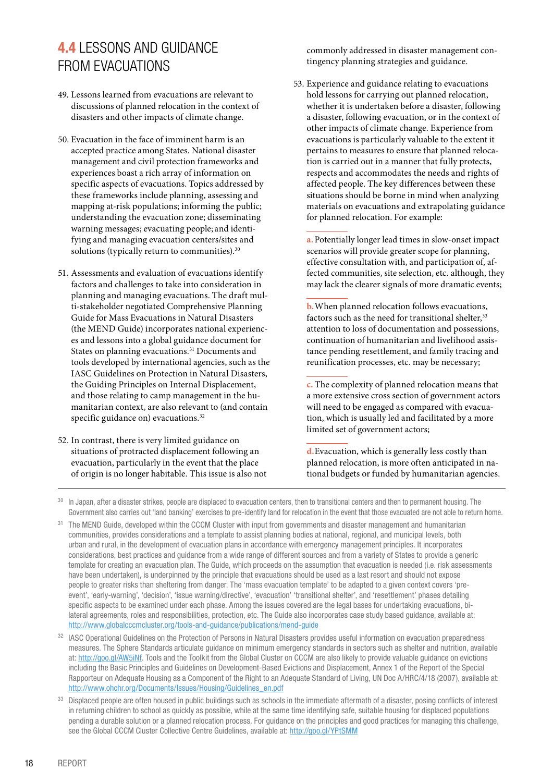### <span id="page-17-0"></span>**4.4** LESSONS AND GUIDANCE FROM EVACUATIONS

- 49. Lessons learned from evacuations are relevant to discussions of planned relocation in the context of disasters and other impacts of climate change.
- 50. Evacuation in the face of imminent harm is an accepted practice among States. National disaster management and civil protection frameworks and experiences boast a rich array of information on specific aspects of evacuations. Topics addressed by these frameworks include planning, assessing and mapping at-risk populations; informing the public; understanding the evacuation zone; disseminating warning messages; evacuating people; and identifying and managing evacuation centers/sites and solutions (typically return to communities).<sup>30</sup>
- 51. Assessments and evaluation of evacuations identify factors and challenges to take into consideration in planning and managing evacuations. The draft multi-stakeholder negotiated Comprehensive Planning Guide for Mass Evacuations in Natural Disasters (the MEND Guide) incorporates national experiences and lessons into a global guidance document for States on planning evacuations.<sup>31</sup> Documents and tools developed by international agencies, such as the IASC Guidelines on Protection in Natural Disasters, the Guiding Principles on Internal Displacement, and those relating to camp management in the humanitarian context, are also relevant to (and contain specific guidance on) evacuations.<sup>32</sup>
- 52. In contrast, there is very limited guidance on situations of protracted displacement following an evacuation, particularly in the event that the place of origin is no longer habitable. This issue is also not

commonly addressed in disaster management contingency planning strategies and guidance.

53. Experience and guidance relating to evacuations hold lessons for carrying out planned relocation, whether it is undertaken before a disaster, following a disaster, following evacuation, or in the context of other impacts of climate change. Experience from evacuations is particularly valuable to the extent it pertains to measures to ensure that planned relocation is carried out in a manner that fully protects, respects and accommodates the needs and rights of affected people. The key differences between these situations should be borne in mind when analyzing materials on evacuations and extrapolating guidance for planned relocation. For example:

**a.**Potentially longer lead times in slow-onset impact scenarios will provide greater scope for planning, effective consultation with, and participation of, affected communities, site selection, etc. although, they may lack the clearer signals of more dramatic events;

**b.**When planned relocation follows evacuations, factors such as the need for transitional shelter,<sup>33</sup> attention to loss of documentation and possessions, continuation of humanitarian and livelihood assistance pending resettlement, and family tracing and reunification processes, etc. may be necessary;

**c.** The complexity of planned relocation means that a more extensive cross section of government actors will need to be engaged as compared with evacuation, which is usually led and facilitated by a more limited set of government actors;

**d.**Evacuation, which is generally less costly than planned relocation, is more often anticipated in national budgets or funded by humanitarian agencies.

<sup>32</sup> IASC Operational Guidelines on the Protection of Persons in Natural Disasters provides useful information on evacuation preparedness measures. The Sphere Standards articulate guidance on minimum emergency standards in sectors such as shelter and nutrition, available at: http://goo.gl/AW5iNf. Tools and the Toolkit from the Global Cluster on CCCM are also likely to provide valuable guidance on evictions including the Basic Principles and Guidelines on Development-Based Evictions and Displacement, Annex 1 of the Report of the Special Rapporteur on Adequate Housing as a Component of the Right to an Adequate Standard of Living, UN Doc A/HRC/4/18 (2007), available at: http://www.ohchr.org/Documents/Issues/Housing/Guidelines\_en.pdf

<sup>33</sup> Displaced people are often housed in public buildings such as schools in the immediate aftermath of a disaster, posing conflicts of interest in returning children to school as quickly as possible, while at the same time identifying safe, suitable housing for displaced populations pending a durable solution or a planned relocation process. For guidance on the principles and good practices for managing this challenge, see the Global CCCM Cluster Collective Centre Guidelines, available at: http://goo.gl/YPtSMM

<sup>&</sup>lt;sup>30</sup> In Japan, after a disaster strikes, people are displaced to evacuation centers, then to transitional centers and then to permanent housing. The Government also carries out 'land banking' exercises to pre-identify land for relocation in the event that those evacuated are not able to return home.

<sup>&</sup>lt;sup>31</sup> The MEND Guide, developed within the CCCM Cluster with input from governments and disaster management and humanitarian communities, provides considerations and a template to assist planning bodies at national, regional, and municipal levels, both urban and rural, in the development of evacuation plans in accordance with emergency management principles. It incorporates considerations, best practices and guidance from a wide range of different sources and from a variety of States to provide a generic template for creating an evacuation plan. The Guide, which proceeds on the assumption that evacuation is needed (i.e. risk assessments have been undertaken), is underpinned by the principle that evacuations should be used as a last resort and should not expose people to greater risks than sheltering from danger. The 'mass evacuation template' to be adapted to a given context covers 'preevent', 'early-warning', 'decision', 'issue warning/directive', 'evacuation' 'transitional shelter', and 'resettlement' phases detailing specific aspects to be examined under each phase. Among the issues covered are the legal bases for undertaking evacuations, bilateral agreements, roles and responsibilities, protection, etc. The Guide also incorporates case study based guidance, available at: http://www.globalcccmcluster.org/tools-and-guidance/publications/mend-guide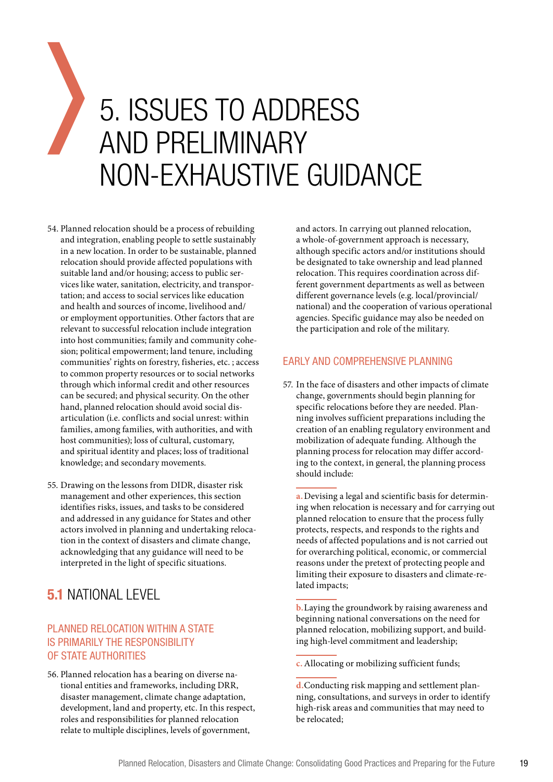# <span id="page-18-0"></span>5. ISSUES TO ADDRESS AND PRELIMINARY NON-EXHAUSTIVE GUIDANCE

- 54. Planned relocation should be a process of rebuilding and integration, enabling people to settle sustainably in a new location. In order to be sustainable, planned relocation should provide affected populations with suitable land and/or housing; access to public services like water, sanitation, electricity, and transportation; and access to social services like education and health and sources of income, livelihood and/ or employment opportunities. Other factors that are relevant to successful relocation include integration into host communities; family and community cohesion; political empowerment; land tenure, including communities' rights on forestry, fisheries, etc. ; access to common property resources or to social networks through which informal credit and other resources can be secured; and physical security. On the other hand, planned relocation should avoid social disarticulation (i.e. conflicts and social unrest: within families, among families, with authorities, and with host communities); loss of cultural, customary, and spiritual identity and places; loss of traditional knowledge; and secondary movements.
- 55. Drawing on the lessons from DIDR, disaster risk management and other experiences, this section identifies risks, issues, and tasks to be considered and addressed in any guidance for States and other actors involved in planning and undertaking relocation in the context of disasters and climate change, acknowledging that any guidance will need to be interpreted in the light of specific situations.

### **5.1** NATIONAL LEVEL

#### PLANNED RELOCATION WITHIN A STATE IS PRIMARILY THE RESPONSIBILITY OF STATE AUTHORITIES

56. Planned relocation has a bearing on diverse national entities and frameworks, including DRR, disaster management, climate change adaptation, development, land and property, etc. In this respect, roles and responsibilities for planned relocation relate to multiple disciplines, levels of government,

and actors. In carrying out planned relocation, a whole-of-government approach is necessary, although specific actors and/or institutions should be designated to take ownership and lead planned relocation. This requires coordination across different government departments as well as between different governance levels (e.g. local/provincial/ national) and the cooperation of various operational agencies. Specific guidance may also be needed on the participation and role of the military.

#### EARLY AND COMPREHENSIVE PLANNING

57. In the face of disasters and other impacts of climate change, governments should begin planning for specific relocations before they are needed. Planning involves sufficient preparations including the creation of an enabling regulatory environment and mobilization of adequate funding. Although the planning process for relocation may differ according to the context, in general, the planning process should include:

**a.**Devising a legal and scientific basis for determining when relocation is necessary and for carrying out planned relocation to ensure that the process fully protects, respects, and responds to the rights and needs of affected populations and is not carried out for overarching political, economic, or commercial reasons under the pretext of protecting people and limiting their exposure to disasters and climate-related impacts;

**b.**Laying the groundwork by raising awareness and beginning national conversations on the need for planned relocation, mobilizing support, and building high-level commitment and leadership;

**c.**Allocating or mobilizing sufficient funds;

**d.**Conducting risk mapping and settlement planning, consultations, and surveys in order to identify high-risk areas and communities that may need to be relocated;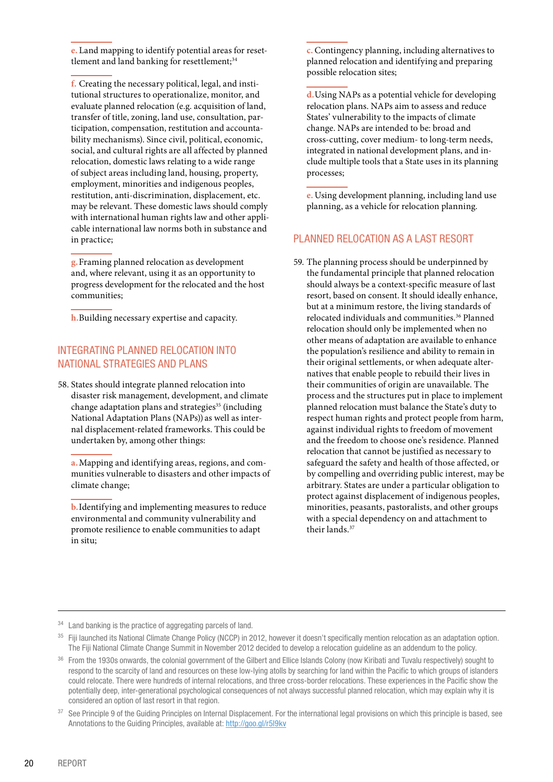<span id="page-19-0"></span>**e.** Land mapping to identify potential areas for resettlement and land banking for resettlement;<sup>34</sup>

**f.** Creating the necessary political, legal, and institutional structures to operationalize, monitor, and evaluate planned relocation (e.g. acquisition of land, transfer of title, zoning, land use, consultation, participation, compensation, restitution and accountability mechanisms). Since civil, political, economic, social, and cultural rights are all affected by planned relocation, domestic laws relating to a wide range of subject areas including land, housing, property, employment, minorities and indigenous peoples, restitution, anti-discrimination, displacement, etc. may be relevant. These domestic laws should comply with international human rights law and other applicable international law norms both in substance and in practice;

**g.**Framing planned relocation as development and, where relevant, using it as an opportunity to progress development for the relocated and the host communities;

**h.**Building necessary expertise and capacity.

#### INTEGRATING PLANNED RELOCATION INTO NATIONAL STRATEGIES AND PLANS

58. States should integrate planned relocation into disaster risk management, development, and climate change adaptation plans and strategies<sup>35</sup> (including National Adaptation Plans (NAPs)) as well as internal displacement-related frameworks. This could be undertaken by, among other things:

**a.**Mapping and identifying areas, regions, and communities vulnerable to disasters and other impacts of climate change;

**b.**Identifying and implementing measures to reduce environmental and community vulnerability and promote resilience to enable communities to adapt in situ;

**c.**Contingency planning, including alternatives to planned relocation and identifying and preparing possible relocation sites;

**d.**Using NAPs as a potential vehicle for developing relocation plans. NAPs aim to assess and reduce States' vulnerability to the impacts of climate change. NAPs are intended to be: broad and cross-cutting, cover medium- to long-term needs, integrated in national development plans, and include multiple tools that a State uses in its planning processes;

**e.** Using development planning, including land use planning, as a vehicle for relocation planning.

#### PLANNED RELOCATION AS A LAST RESORT

59. The planning process should be underpinned by the fundamental principle that planned relocation should always be a context-specific measure of last resort, based on consent. It should ideally enhance, but at a minimum restore, the living standards of relocated individuals and communities.<sup>36</sup> Planned relocation should only be implemented when no other means of adaptation are available to enhance the population's resilience and ability to remain in their original settlements, or when adequate alternatives that enable people to rebuild their lives in their communities of origin are unavailable. The process and the structures put in place to implement planned relocation must balance the State's duty to respect human rights and protect people from harm, against individual rights to freedom of movement and the freedom to choose one's residence. Planned relocation that cannot be justified as necessary to safeguard the safety and health of those affected, or by compelling and overriding public interest, may be arbitrary. States are under a particular obligation to protect against displacement of indigenous peoples, minorities, peasants, pastoralists, and other groups with a special dependency on and attachment to their lands.37

<sup>34</sup> Land banking is the practice of aggregating parcels of land.

<sup>35</sup> Fiji launched its National Climate Change Policy (NCCP) in 2012, however it doesn't specifically mention relocation as an adaptation option. The Fiji National Climate Change Summit in November 2012 decided to develop a relocation guideline as an addendum to the policy.

36 From the 1930s onwards, the colonial government of the Gilbert and Ellice Islands Colony (now Kiribati and Tuvalu respectively) sought to respond to the scarcity of land and resources on these low-lying atolls by searching for land within the Pacific to which groups of islanders could relocate. There were hundreds of internal relocations, and three cross-border relocations. These experiences in the Pacific show the potentially deep, inter-generational psychological consequences of not always successful planned relocation, which may explain why it is considered an option of last resort in that region.

<sup>37</sup> See Principle 9 of the Guiding Principles on Internal Displacement. For the international legal provisions on which this principle is based, see Annotations to the Guiding Principles, available at: http://goo.gl/r5l9kv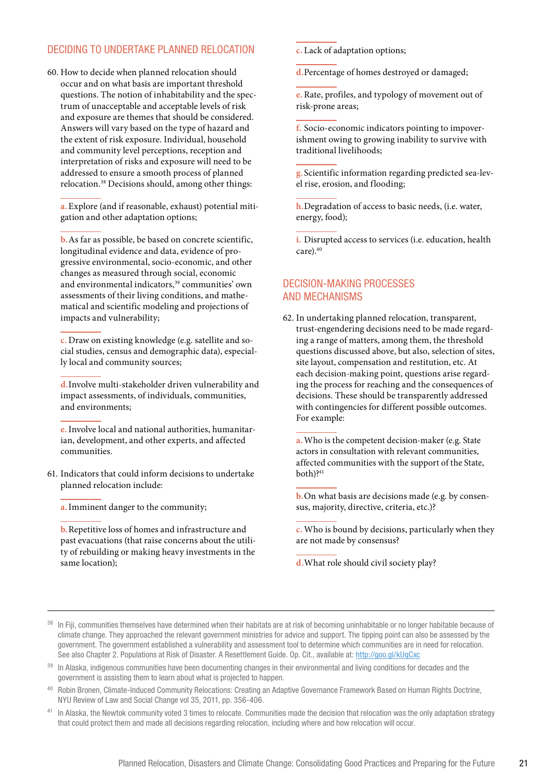#### <span id="page-20-0"></span>DECIDING TO UNDERTAKE PLANNED RELOCATION

60. How to decide when planned relocation should occur and on what basis are important threshold questions. The notion of inhabitability and the spectrum of unacceptable and acceptable levels of risk and exposure are themes that should be considered. Answers will vary based on the type of hazard and the extent of risk exposure. Individual, household and community level perceptions, reception and interpretation of risks and exposure will need to be addressed to ensure a smooth process of planned relocation.38 Decisions should, among other things:

**a.**Explore (and if reasonable, exhaust) potential mitigation and other adaptation options;

**b.**As far as possible, be based on concrete scientific, longitudinal evidence and data, evidence of progressive environmental, socio-economic, and other changes as measured through social, economic and environmental indicators,<sup>39</sup> communities' own assessments of their living conditions, and mathematical and scientific modeling and projections of impacts and vulnerability;

**c.** Draw on existing knowledge (e.g. satellite and social studies, census and demographic data), especially local and community sources;

**d.**Involve multi-stakeholder driven vulnerability and impact assessments, of individuals, communities, and environments;

**e.**Involve local and national authorities, humanitarian, development, and other experts, and affected communities.

- 61. Indicators that could inform decisions to undertake planned relocation include:
	- **a.**Imminent danger to the community;

**b.**Repetitive loss of homes and infrastructure and past evacuations (that raise concerns about the utility of rebuilding or making heavy investments in the same location);

**c.** Lack of adaptation options;

**d.**Percentage of homes destroyed or damaged;

**e.**Rate, profiles, and typology of movement out of risk-prone areas;

**f.** Socio-economic indicators pointing to impoverishment owing to growing inability to survive with traditional livelihoods;

**g.**Scientific information regarding predicted sea-level rise, erosion, and flooding;

**h.**Degradation of access to basic needs, (i.e. water, energy, food);

**i.** Disrupted access to services (i.e. education, health care).<sup>40</sup>

#### DECISION-MAKING PROCESSES AND MECHANISMS

62. In undertaking planned relocation, transparent, trust-engendering decisions need to be made regarding a range of matters, among them, the threshold questions discussed above, but also, selection of sites, site layout, compensation and restitution, etc. At each decision-making point, questions arise regarding the process for reaching and the consequences of decisions. These should be transparently addressed with contingencies for different possible outcomes. For example:

**a.**Who is the competent decision-maker (e.g. State actors in consultation with relevant communities, affected communities with the support of the State, both)?<sup>41</sup>

**b.**On what basis are decisions made (e.g. by consensus, majority, directive, criteria, etc.)?

**c.**Who is bound by decisions, particularly when they are not made by consensus?

**d.**What role should civil society play?

- <sup>38</sup> In Fiji, communities themselves have determined when their habitats are at risk of becoming uninhabitable or no longer habitable because of climate change. They approached the relevant government ministries for advice and support. The tipping point can also be assessed by the government. The government established a vulnerability and assessment tool to determine which communities are in need for relocation. See also Chapter 2. Populations at Risk of Disaster. A Resettlement Guide. Op. Cit., available at: http://goo.gl/kUqCxc
- <sup>39</sup> In Alaska, indigenous communities have been documenting changes in their environmental and living conditions for decades and the government is assisting them to learn about what is projected to happen.
- <sup>40</sup> Robin Bronen, Climate-Induced Community Relocations: Creating an Adaptive Governance Framework Based on Human Rights Doctrine, NYU Review of Law and Social Change vol 35, 2011, pp. 356-406.
- <sup>41</sup> In Alaska, the Newtok community voted 3 times to relocate. Communities made the decision that relocation was the only adaptation strategy that could protect them and made all decisions regarding relocation, including where and how relocation will occur.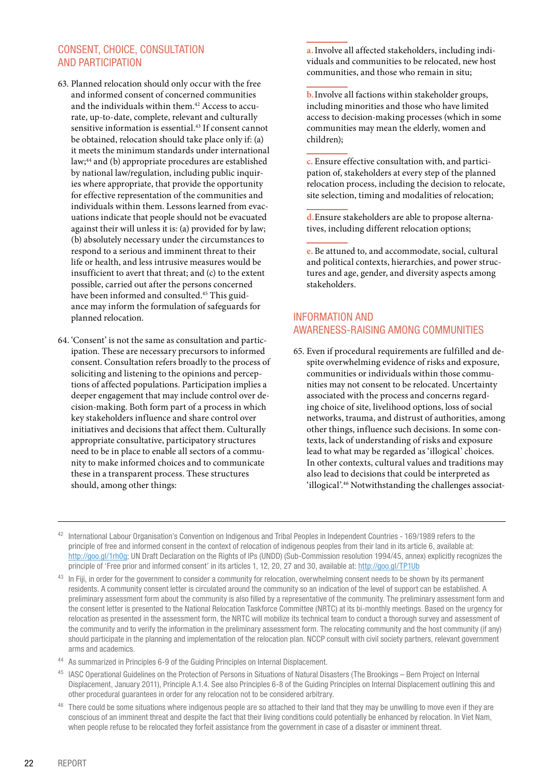#### <span id="page-21-0"></span>CONSENT, CHOICE, CONSULTATION AND PARTICIPATION

- 63. Planned relocation should only occur with the free and informed consent of concerned communities and the individuals within them.<sup>42</sup> Access to accurate, up-to-date, complete, relevant and culturally sensitive information is essential.<sup>43</sup> If consent cannot be obtained, relocation should take place only if: (a) it meets the minimum standards under international law;44 and (b) appropriate procedures are established by national law/regulation, including public inquiries where appropriate, that provide the opportunity for effective representation of the communities and individuals within them. Lessons learned from evacuations indicate that people should not be evacuated against their will unless it is: (a) provided for by law; (b) absolutely necessary under the circumstances to respond to a serious and imminent threat to their life or health, and less intrusive measures would be insufficient to avert that threat; and (c) to the extent possible, carried out after the persons concerned have been informed and consulted.45 This guidance may inform the formulation of safeguards for planned relocation.
- 64. 'Consent' is not the same as consultation and participation. These are necessary precursors to informed consent. Consultation refers broadly to the process of soliciting and listening to the opinions and perceptions of affected populations. Participation implies a deeper engagement that may include control over decision-making. Both form part of a process in which key stakeholders influence and share control over initiatives and decisions that affect them. Culturally appropriate consultative, participatory structures need to be in place to enable all sectors of a community to make informed choices and to communicate these in a transparent process. These structures should, among other things:

**a.**Involve all affected stakeholders, including individuals and communities to be relocated, new host communities, and those who remain in situ;

**b.**Involve all factions within stakeholder groups, including minorities and those who have limited access to decision-making processes (which in some communities may mean the elderly, women and children);

**c.** Ensure effective consultation with, and participation of, stakeholders at every step of the planned relocation process, including the decision to relocate, site selection, timing and modalities of relocation;

**d.**Ensure stakeholders are able to propose alternatives, including different relocation options;

**e.** Be attuned to, and accommodate, social, cultural and political contexts, hierarchies, and power structures and age, gender, and diversity aspects among stakeholders.

#### INFORMATION AND AWARENESS-RAISING AMONG COMMUNITIES

- 65. Even if procedural requirements are fulfilled and despite overwhelming evidence of risks and exposure, communities or individuals within those communities may not consent to be relocated. Uncertainty associated with the process and concerns regarding choice of site, livelihood options, loss of social networks, trauma, and distrust of authorities, among other things, influence such decisions. In some contexts, lack of understanding of risks and exposure lead to what may be regarded as 'illogical' choices. In other contexts, cultural values and traditions may also lead to decisions that could be interpreted as 'illogical'.46 Notwithstanding the challenges associat-
- 42 International Labour Organisation's Convention on Indigenous and Tribal Peoples in Independent Countries 169/1989 refers to the principle of free and informed consent in the context of relocation of indigenous peoples from their land in its article 6, available at: http://goo.gl/1rh0g; UN Draft Declaration on the Rights of IPs (UNDD) (Sub-Commission resolution 1994/45, annex) explicitly recognizes the principle of 'Free prior and informed consent' in its articles 1, 12, 20, 27 and 30, available at: http://goo.gl/TP1Ub

<sup>44</sup> As summarized in Principles 6-9 of the Guiding Principles on Internal Displacement.

- <sup>45</sup> IASC Operational Guidelines on the Protection of Persons in Situations of Natural Disasters (The Brookings Bern Project on Internal Displacement, January 2011), Principle A.1.4. See also Principles 6-8 of the Guiding Principles on Internal Displacement outlining this and other procedural guarantees in order for any relocation not to be considered arbitrary.
- <sup>46</sup> There could be some situations where indigenous people are so attached to their land that they may be unwilling to move even if they are conscious of an imminent threat and despite the fact that their living conditions could potentially be enhanced by relocation. In Viet Nam, when people refuse to be relocated they forfeit assistance from the government in case of a disaster or imminent threat.

<sup>&</sup>lt;sup>43</sup> In Fiji, in order for the government to consider a community for relocation, overwhelming consent needs to be shown by its permanent residents. A community consent letter is circulated around the community so an indication of the level of support can be established. A preliminary assessment form about the community is also filled by a representative of the community. The preliminary assessment form and the consent letter is presented to the National Relocation Taskforce Committee (NRTC) at its bi-monthly meetings. Based on the urgency for relocation as presented in the assessment form, the NRTC will mobilize its technical team to conduct a thorough survey and assessment of the community and to verify the information in the preliminary assessment form. The relocating community and the host community (if any) should participate in the planning and implementation of the relocation plan. NCCP consult with civil society partners, relevant government arms and academics.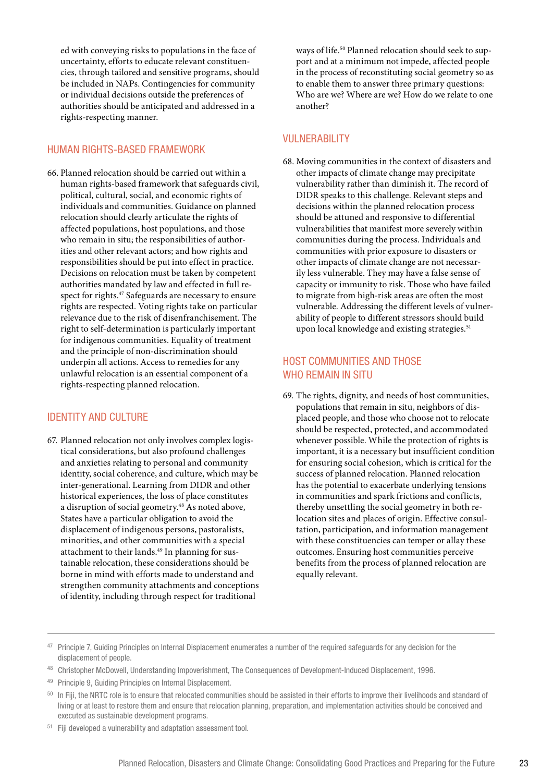<span id="page-22-0"></span>ed with conveying risks to populations in the face of uncertainty, efforts to educate relevant constituencies, through tailored and sensitive programs, should be included in NAPs. Contingencies for community or individual decisions outside the preferences of authorities should be anticipated and addressed in a rights-respecting manner.

#### HUMAN RIGHTS-BASED FRAMEWORK

66. Planned relocation should be carried out within a human rights-based framework that safeguards civil, political, cultural, social, and economic rights of individuals and communities. Guidance on planned relocation should clearly articulate the rights of affected populations, host populations, and those who remain in situ; the responsibilities of authorities and other relevant actors; and how rights and responsibilities should be put into effect in practice. Decisions on relocation must be taken by competent authorities mandated by law and effected in full respect for rights.<sup>47</sup> Safeguards are necessary to ensure rights are respected. Voting rights take on particular relevance due to the risk of disenfranchisement. The right to self-determination is particularly important for indigenous communities. Equality of treatment and the principle of non-discrimination should underpin all actions. Access to remedies for any unlawful relocation is an essential component of a rights-respecting planned relocation.

#### IDENTITY AND CULTURE

67. Planned relocation not only involves complex logistical considerations, but also profound challenges and anxieties relating to personal and community identity, social coherence, and culture, which may be inter-generational. Learning from DIDR and other historical experiences, the loss of place constitutes a disruption of social geometry.48 As noted above, States have a particular obligation to avoid the displacement of indigenous persons, pastoralists, minorities, and other communities with a special attachment to their lands.<sup>49</sup> In planning for sustainable relocation, these considerations should be borne in mind with efforts made to understand and strengthen community attachments and conceptions of identity, including through respect for traditional

ways of life.50 Planned relocation should seek to support and at a minimum not impede, affected people in the process of reconstituting social geometry so as to enable them to answer three primary questions: Who are we? Where are we? How do we relate to one another?

#### VULNERABILITY

68. Moving communities in the context of disasters and other impacts of climate change may precipitate vulnerability rather than diminish it. The record of DIDR speaks to this challenge. Relevant steps and decisions within the planned relocation process should be attuned and responsive to differential vulnerabilities that manifest more severely within communities during the process. Individuals and communities with prior exposure to disasters or other impacts of climate change are not necessarily less vulnerable. They may have a false sense of capacity or immunity to risk. Those who have failed to migrate from high-risk areas are often the most vulnerable. Addressing the different levels of vulnerability of people to different stressors should build upon local knowledge and existing strategies.<sup>51</sup>

#### HOST COMMUNITIES AND THOSE WHO REMAIN IN SITU

69. The rights, dignity, and needs of host communities, populations that remain in situ, neighbors of displaced people, and those who choose not to relocate should be respected, protected, and accommodated whenever possible. While the protection of rights is important, it is a necessary but insufficient condition for ensuring social cohesion, which is critical for the success of planned relocation. Planned relocation has the potential to exacerbate underlying tensions in communities and spark frictions and conflicts, thereby unsettling the social geometry in both relocation sites and places of origin. Effective consultation, participation, and information management with these constituencies can temper or allay these outcomes. Ensuring host communities perceive benefits from the process of planned relocation are equally relevant.

Fiji developed a vulnerability and adaptation assessment tool.

<sup>47</sup> Principle 7, Guiding Principles on Internal Displacement enumerates a number of the required safeguards for any decision for the displacement of people.

<sup>48</sup> Christopher McDowell, Understanding Impoverishment, The Consequences of Development-Induced Displacement, 1996.

<sup>49</sup> Principle 9, Guiding Principles on Internal Displacement.

<sup>&</sup>lt;sup>50</sup> In Fiji, the NRTC role is to ensure that relocated communities should be assisted in their efforts to improve their livelihoods and standard of living or at least to restore them and ensure that relocation planning, preparation, and implementation activities should be conceived and executed as sustainable development programs.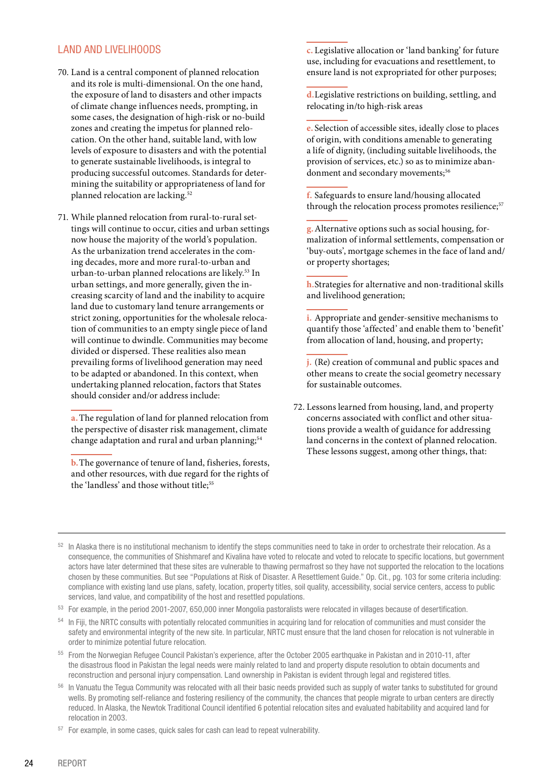#### <span id="page-23-0"></span>LAND AND LIVELIHOODS

- 70. Land is a central component of planned relocation and its role is multi-dimensional. On the one hand, the exposure of land to disasters and other impacts of climate change influences needs, prompting, in some cases, the designation of high-risk or no-build zones and creating the impetus for planned relocation. On the other hand, suitable land, with low levels of exposure to disasters and with the potential to generate sustainable livelihoods, is integral to producing successful outcomes. Standards for determining the suitability or appropriateness of land for planned relocation are lacking.<sup>52</sup>
- 71. While planned relocation from rural-to-rural settings will continue to occur, cities and urban settings now house the majority of the world's population. As the urbanization trend accelerates in the coming decades, more and more rural-to-urban and urban-to-urban planned relocations are likely.53 In urban settings, and more generally, given the increasing scarcity of land and the inability to acquire land due to customary land tenure arrangements or strict zoning, opportunities for the wholesale relocation of communities to an empty single piece of land will continue to dwindle. Communities may become divided or dispersed. These realities also mean prevailing forms of livelihood generation may need to be adapted or abandoned. In this context, when undertaking planned relocation, factors that States should consider and/or address include:

**a.**The regulation of land for planned relocation from the perspective of disaster risk management, climate change adaptation and rural and urban planning;<sup>54</sup>

**b.**The governance of tenure of land, fisheries, forests, and other resources, with due regard for the rights of the 'landless' and those without title;<sup>55</sup>

**c.** Legislative allocation or 'land banking' for future use, including for evacuations and resettlement, to ensure land is not expropriated for other purposes;

**d.**Legislative restrictions on building, settling, and relocating in/to high-risk areas

**e.** Selection of accessible sites, ideally close to places of origin, with conditions amenable to generating a life of dignity, (including suitable livelihoods, the provision of services, etc.) so as to minimize abandonment and secondary movements;<sup>56</sup>

**f.** Safeguards to ensure land/housing allocated through the relocation process promotes resilience;<sup>57</sup>

**g.**Alternative options such as social housing, formalization of informal settlements, compensation or 'buy-outs', mortgage schemes in the face of land and/ or property shortages;

**h.**Strategies for alternative and non-traditional skills and livelihood generation;

**i.** Appropriate and gender-sensitive mechanisms to quantify those 'affected' and enable them to 'benefit' from allocation of land, housing, and property;

**j.** (Re) creation of communal and public spaces and other means to create the social geometry necessary for sustainable outcomes.

72. Lessons learned from housing, land, and property concerns associated with conflict and other situations provide a wealth of guidance for addressing land concerns in the context of planned relocation. These lessons suggest, among other things, that:

53 For example, in the period 2001-2007, 650,000 inner Mongolia pastoralists were relocated in villages because of desertification.

<sup>52</sup> In Alaska there is no institutional mechanism to identify the steps communities need to take in order to orchestrate their relocation. As a consequence, the communities of Shishmaref and Kivalina have voted to relocate and voted to relocate to specific locations, but government actors have later determined that these sites are vulnerable to thawing permafrost so they have not supported the relocation to the locations chosen by these communities. But see "Populations at Risk of Disaster. A Resettlement Guide." Op. Cit., pg. 103 for some criteria including: compliance with existing land use plans, safety, location, property titles, soil quality, accessibility, social service centers, access to public services, land value, and compatibility of the host and resettled populations.

<sup>&</sup>lt;sup>54</sup> In Fiji, the NRTC consults with potentially relocated communities in acquiring land for relocation of communities and must consider the safety and environmental integrity of the new site. In particular, NRTC must ensure that the land chosen for relocation is not vulnerable in order to minimize potential future relocation.

<sup>55</sup> From the Norwegian Refugee Council Pakistan's experience, after the October 2005 earthquake in Pakistan and in 2010-11, after the disastrous flood in Pakistan the legal needs were mainly related to land and property dispute resolution to obtain documents and reconstruction and personal injury compensation. Land ownership in Pakistan is evident through legal and registered titles.

In Vanuatu the Tegua Community was relocated with all their basic needs provided such as supply of water tanks to substituted for ground wells. By promoting self-reliance and fostering resiliency of the community, the chances that people migrate to urban centers are directly reduced. In Alaska, the Newtok Traditional Council identified 6 potential relocation sites and evaluated habitability and acquired land for relocation in 2003.

<sup>57</sup> For example, in some cases, quick sales for cash can lead to repeat vulnerability.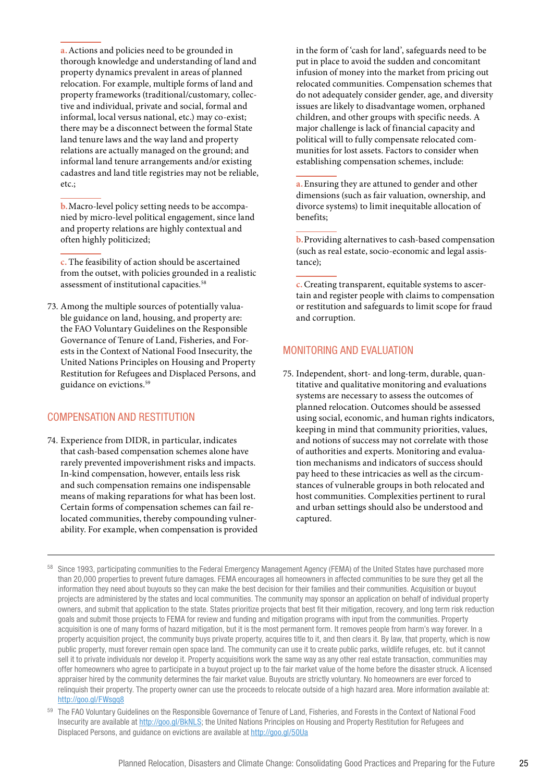<span id="page-24-0"></span>**a.**Actions and policies need to be grounded in thorough knowledge and understanding of land and property dynamics prevalent in areas of planned relocation. For example, multiple forms of land and property frameworks (traditional/customary, collective and individual, private and social, formal and informal, local versus national, etc.) may co-exist; there may be a disconnect between the formal State land tenure laws and the way land and property relations are actually managed on the ground; and informal land tenure arrangements and/or existing cadastres and land title registries may not be reliable, etc.;

**b.**Macro-level policy setting needs to be accompanied by micro-level political engagement, since land and property relations are highly contextual and often highly politicized;

**c.** The feasibility of action should be ascertained from the outset, with policies grounded in a realistic assessment of institutional capacities.<sup>58</sup>

73. Among the multiple sources of potentially valuable guidance on land, housing, and property are: the FAO Voluntary Guidelines on the Responsible Governance of Tenure of Land, Fisheries, and Forests in the Context of National Food Insecurity, the United Nations Principles on Housing and Property Restitution for Refugees and Displaced Persons, and guidance on evictions.59

#### COMPENSATION AND RESTITUTION

74. Experience from DIDR, in particular, indicates that cash-based compensation schemes alone have rarely prevented impoverishment risks and impacts. In-kind compensation, however, entails less risk and such compensation remains one indispensable means of making reparations for what has been lost. Certain forms of compensation schemes can fail relocated communities, thereby compounding vulnerability. For example, when compensation is provided in the form of 'cash for land', safeguards need to be put in place to avoid the sudden and concomitant infusion of money into the market from pricing out relocated communities. Compensation schemes that do not adequately consider gender, age, and diversity issues are likely to disadvantage women, orphaned children, and other groups with specific needs. A major challenge is lack of financial capacity and political will to fully compensate relocated communities for lost assets. Factors to consider when establishing compensation schemes, include:

**a.**Ensuring they are attuned to gender and other dimensions (such as fair valuation, ownership, and divorce systems) to limit inequitable allocation of benefits;

**b.**Providing alternatives to cash-based compensation (such as real estate, socio-economic and legal assistance);

**c.**Creating transparent, equitable systems to ascertain and register people with claims to compensation or restitution and safeguards to limit scope for fraud and corruption.

#### MONITORING AND EVALUATION

75. Independent, short- and long-term, durable, quantitative and qualitative monitoring and evaluations systems are necessary to assess the outcomes of planned relocation. Outcomes should be assessed using social, economic, and human rights indicators, keeping in mind that community priorities, values, and notions of success may not correlate with those of authorities and experts. Monitoring and evaluation mechanisms and indicators of success should pay heed to these intricacies as well as the circumstances of vulnerable groups in both relocated and host communities. Complexities pertinent to rural and urban settings should also be understood and captured.

Since 1993, participating communities to the Federal Emergency Management Agency (FEMA) of the United States have purchased more than 20,000 properties to prevent future damages. FEMA encourages all homeowners in affected communities to be sure they get all the information they need about buyouts so they can make the best decision for their families and their communities. Acquisition or buyout projects are administered by the states and local communities. The community may sponsor an application on behalf of individual property owners, and submit that application to the state. States prioritize projects that best fit their mitigation, recovery, and long term risk reduction goals and submit those projects to FEMA for review and funding and mitigation programs with input from the communities. Property acquisition is one of many forms of hazard mitigation, but it is the most permanent form. It removes people from harm's way forever. In a property acquisition project, the community buys private property, acquires title to it, and then clears it. By law, that property, which is now public property, must forever remain open space land. The community can use it to create public parks, wildlife refuges, etc. but it cannot sell it to private individuals nor develop it. Property acquisitions work the same way as any other real estate transaction, communities may offer homeowners who agree to participate in a buyout project up to the fair market value of the home before the disaster struck. A licensed appraiser hired by the community determines the fair market value. Buyouts are strictly voluntary. No homeowners are ever forced to relinquish their property. The property owner can use the proceeds to relocate outside of a high hazard area. More information available at: http://goo.gl/FWsgq8

<sup>&</sup>lt;sup>59</sup> The FAO Voluntary Guidelines on the Responsible Governance of Tenure of Land, Fisheries, and Forests in the Context of National Food Insecurity are available at http://goo.gl/BkNLS; the United Nations Principles on Housing and Property Restitution for Refugees and Displaced Persons, and guidance on evictions are available at http://goo.gl/50Ua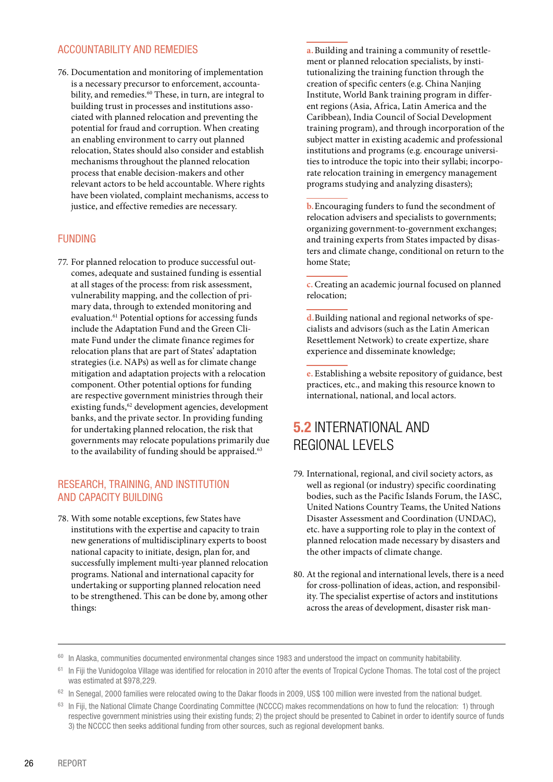#### <span id="page-25-0"></span>ACCOUNTABILITY AND REMEDIES

76. Documentation and monitoring of implementation is a necessary precursor to enforcement, accountability, and remedies.<sup>60</sup> These, in turn, are integral to building trust in processes and institutions associated with planned relocation and preventing the potential for fraud and corruption. When creating an enabling environment to carry out planned relocation, States should also consider and establish mechanisms throughout the planned relocation process that enable decision-makers and other relevant actors to be held accountable. Where rights have been violated, complaint mechanisms, access to justice, and effective remedies are necessary.

#### FUNDING

77. For planned relocation to produce successful outcomes, adequate and sustained funding is essential at all stages of the process: from risk assessment, vulnerability mapping, and the collection of primary data, through to extended monitoring and evaluation.<sup>61</sup> Potential options for accessing funds include the Adaptation Fund and the Green Climate Fund under the climate finance regimes for relocation plans that are part of States' adaptation strategies (i.e. NAPs) as well as for climate change mitigation and adaptation projects with a relocation component. Other potential options for funding are respective government ministries through their existing funds,<sup>62</sup> development agencies, development banks, and the private sector. In providing funding for undertaking planned relocation, the risk that governments may relocate populations primarily due to the availability of funding should be appraised.<sup>63</sup>

#### RESEARCH, TRAINING, AND INSTITUTION AND CAPACITY BUILDING

78. With some notable exceptions, few States have institutions with the expertise and capacity to train new generations of multidisciplinary experts to boost national capacity to initiate, design, plan for, and successfully implement multi-year planned relocation programs. National and international capacity for undertaking or supporting planned relocation need to be strengthened. This can be done by, among other things:

**a.**Building and training a community of resettlement or planned relocation specialists, by institutionalizing the training function through the creation of specific centers (e.g. China Nanjing Institute, World Bank training program in different regions (Asia, Africa, Latin America and the Caribbean), India Council of Social Development training program), and through incorporation of the subject matter in existing academic and professional institutions and programs (e.g. encourage universities to introduce the topic into their syllabi; incorporate relocation training in emergency management programs studying and analyzing disasters);

**b.**Encouraging funders to fund the secondment of relocation advisers and specialists to governments; organizing government-to-government exchanges; and training experts from States impacted by disasters and climate change, conditional on return to the home State;

**c.**Creating an academic journal focused on planned relocation;

**d.**Building national and regional networks of specialists and advisors (such as the Latin American Resettlement Network) to create expertize, share experience and disseminate knowledge;

**e.** Establishing a website repository of guidance, best practices, etc., and making this resource known to international, national, and local actors.

### **5.2** INTERNATIONAL AND REGIONAL LEVELS

- 79. International, regional, and civil society actors, as well as regional (or industry) specific coordinating bodies, such as the Pacific Islands Forum, the IASC, United Nations Country Teams, the United Nations Disaster Assessment and Coordination (UNDAC), etc. have a supporting role to play in the context of planned relocation made necessary by disasters and the other impacts of climate change.
- 80. At the regional and international levels, there is a need for cross-pollination of ideas, action, and responsibility. The specialist expertise of actors and institutions across the areas of development, disaster risk man-

- <sup>62</sup> In Senegal, 2000 families were relocated owing to the Dakar floods in 2009, US\$ 100 million were invested from the national budget.
- <sup>63</sup> In Fiji, the National Climate Change Coordinating Committee (NCCCC) makes recommendations on how to fund the relocation: 1) through respective government ministries using their existing funds; 2) the project should be presented to Cabinet in order to identify source of funds 3) the NCCCC then seeks additional funding from other sources, such as regional development banks.

<sup>&</sup>lt;sup>60</sup> In Alaska, communities documented environmental changes since 1983 and understood the impact on community habitability.

<sup>&</sup>lt;sup>61</sup> In Fiji the Vunidogoloa Village was identified for relocation in 2010 after the events of Tropical Cyclone Thomas. The total cost of the project was estimated at \$978,229.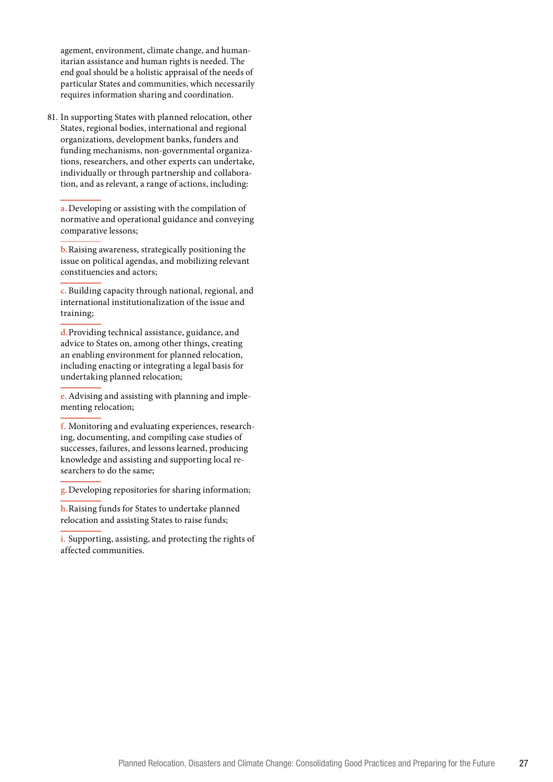agement, environment, climate change, and human itarian assistance and human rights is needed. The end goal should be a holistic appraisal of the needs of particular States and communities, which necessarily requires information sharing and coordination.

81. In supporting States with planned relocation, other States, regional bodies, international and regional organizations, development banks, funders and funding mechanisms, non-governmental organiza tions, researchers, and other experts can undertake, individually or through partnership and collabora tion, and as relevant, a range of actions, including:

**a.**Developing or assisting with the compilation of normative and operational guidance and conveying comparative lessons;

**b.**Raising awareness, strategically positioning the issue on political agendas, and mobilizing relevant constituencies and actors;

**c.** Building capacity through national, regional, and international institutionalization of the issue and training;

**d.**Providing technical assistance, guidance, and advice to States on, among other things, creating an enabling environment for planned relocation, including enacting or integrating a legal basis for undertaking planned relocation;

**e.**Advising and assisting with planning and imple menting relocation;

**f.** Monitoring and evaluating experiences, research ing, documenting, and compiling case studies of successes, failures, and lessons learned, producing knowledge and assisting and supporting local re searchers to do the same;

**g.**Developing repositories for sharing information;

**h.**Raising funds for States to undertake planned relocation and assisting States to raise funds;

**i.** Supporting, assisting, and protecting the rights of affected communities.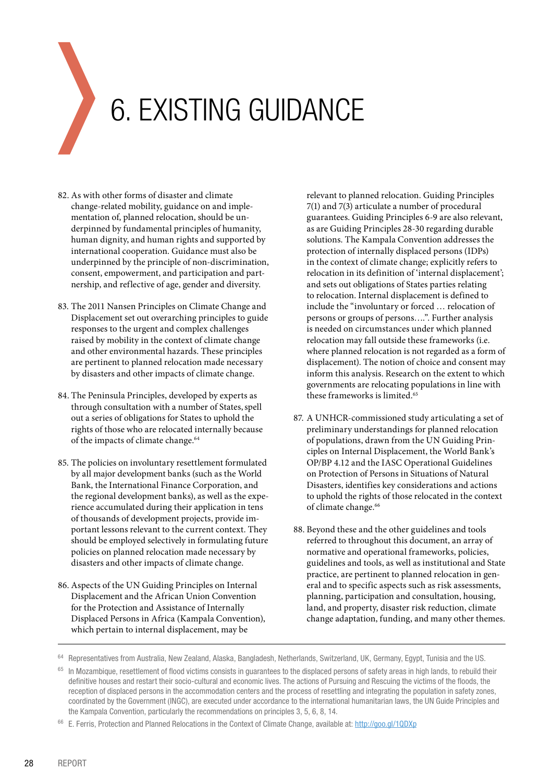# <span id="page-27-0"></span>6. EXISTING GUIDANCE

- 82. As with other forms of disaster and climate change-related mobility, guidance on and implementation of, planned relocation, should be underpinned by fundamental principles of humanity, human dignity, and human rights and supported by international cooperation. Guidance must also be underpinned by the principle of non-discrimination, consent, empowerment, and participation and partnership, and reflective of age, gender and diversity.
- 83. The 2011 Nansen Principles on Climate Change and Displacement set out overarching principles to guide responses to the urgent and complex challenges raised by mobility in the context of climate change and other environmental hazards. These principles are pertinent to planned relocation made necessary by disasters and other impacts of climate change.
- 84. The Peninsula Principles, developed by experts as through consultation with a number of States, spell out a series of obligations for States to uphold the rights of those who are relocated internally because of the impacts of climate change.<sup>64</sup>
- 85. The policies on involuntary resettlement formulated by all major development banks (such as the World Bank, the International Finance Corporation, and the regional development banks), as well as the experience accumulated during their application in tens of thousands of development projects, provide important lessons relevant to the current context. They should be employed selectively in formulating future policies on planned relocation made necessary by disasters and other impacts of climate change.
- 86. Aspects of the UN Guiding Principles on Internal Displacement and the African Union Convention for the Protection and Assistance of Internally Displaced Persons in Africa (Kampala Convention), which pertain to internal displacement, may be

relevant to planned relocation. Guiding Principles 7(1) and 7(3) articulate a number of procedural guarantees. Guiding Principles 6-9 are also relevant, as are Guiding Principles 28-30 regarding durable solutions. The Kampala Convention addresses the protection of internally displaced persons (IDPs) in the context of climate change; explicitly refers to relocation in its definition of 'internal displacement'; and sets out obligations of States parties relating to relocation. Internal displacement is defined to include the "involuntary or forced … relocation of persons or groups of persons….". Further analysis is needed on circumstances under which planned relocation may fall outside these frameworks (i.e. where planned relocation is not regarded as a form of displacement). The notion of choice and consent may inform this analysis. Research on the extent to which governments are relocating populations in line with these frameworks is limited.<sup>65</sup>

- 87. A UNHCR-commissioned study articulating a set of preliminary understandings for planned relocation of populations, drawn from the UN Guiding Principles on Internal Displacement, the World Bank's OP/BP 4.12 and the IASC Operational Guidelines on Protection of Persons in Situations of Natural Disasters, identifies key considerations and actions to uphold the rights of those relocated in the context of climate change.<sup>66</sup>
- 88. Beyond these and the other guidelines and tools referred to throughout this document, an array of normative and operational frameworks, policies, guidelines and tools, as well as institutional and State practice, are pertinent to planned relocation in general and to specific aspects such as risk assessments, planning, participation and consultation, housing, land, and property, disaster risk reduction, climate change adaptation, funding, and many other themes.

<sup>64</sup> Representatives from Australia, New Zealand, Alaska, Bangladesh, Netherlands, Switzerland, UK, Germany, Egypt, Tunisia and the US.

In Mozambique, resettlement of flood victims consists in quarantees to the displaced persons of safety areas in high lands, to rebuild their definitive houses and restart their socio-cultural and economic lives. The actions of Pursuing and Rescuing the victims of the floods, the reception of displaced persons in the accommodation centers and the process of resettling and integrating the population in safety zones, coordinated by the Government (INGC), are executed under accordance to the international humanitarian laws, the UN Guide Principles and the Kampala Convention, particularly the recommendations on principles 3, 5, 6, 8, 14.

<sup>66</sup> E. Ferris, Protection and Planned Relocations in the Context of Climate Change, available at: http://goo.gl/1QDXp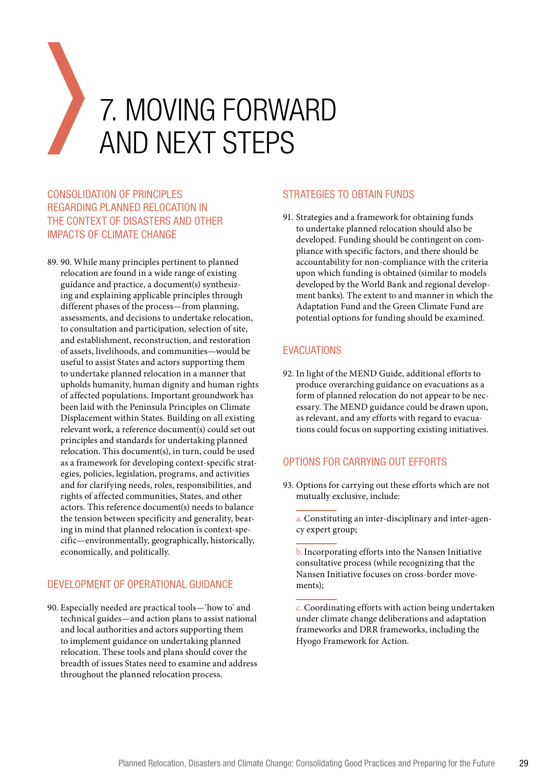# <span id="page-28-0"></span>7. MOVING FORWARD AND NEXT STEPS

#### CONSOLIDATION OF PRINCIPLES REGARDING PLANNED RELOCATION IN THE CONTEXT OF DISASTERS AND OTHER IMPACTS OF CLIMATE CHANGE

89. 90. While many principles pertinent to planned relocation are found in a wide range of existing guidance and practice, a document(s) synthesizing and explaining applicable principles through different phases of the process—from planning, assessments, and decisions to undertake relocation, to consultation and participation, selection of site, and establishment, reconstruction, and restoration of assets, livelihoods, and communities—would be useful to assist States and actors supporting them to undertake planned relocation in a manner that upholds humanity, human dignity and human rights of affected populations. Important groundwork has been laid with the Peninsula Principles on Climate Displacement within States. Building on all existing relevant work, a reference document(s) could set out principles and standards for undertaking planned relocation. This document(s), in turn, could be used as a framework for developing context-specific strategies, policies, legislation, programs, and activities and for clarifying needs, roles, responsibilities, and rights of affected communities, States, and other actors. This reference document(s) needs to balance the tension between specificity and generality, bearing in mind that planned relocation is context-specific—environmentally, geographically, historically, economically, and politically.

#### DEVELOPMENT OF OPERATIONAL GUIDANCE

90. Especially needed are practical tools—'how to' and technical guides—and action plans to assist national and local authorities and actors supporting them to implement guidance on undertaking planned relocation. These tools and plans should cover the breadth of issues States need to examine and address throughout the planned relocation process.

#### STRATEGIES TO OBTAIN FUNDS

91. Strategies and a framework for obtaining funds to undertake planned relocation should also be developed. Funding should be contingent on compliance with specific factors, and there should be accountability for non-compliance with the criteria upon which funding is obtained (similar to models developed by the World Bank and regional development banks). The extent to and manner in which the Adaptation Fund and the Green Climate Fund are potential options for funding should be examined.

#### EVACUATIONS

92. In light of the MEND Guide, additional efforts to produce overarching guidance on evacuations as a form of planned relocation do not appear to be necessary. The MEND guidance could be drawn upon, as relevant, and any efforts with regard to evacuations could focus on supporting existing initiatives.

#### OPTIONS FOR CARRYING OUT EFFORTS

93. Options for carrying out these efforts which are not mutually exclusive, include:

a.Constituting an inter-disciplinary and inter-agency expert group;

b.Incorporating efforts into the Nansen Initiative consultative process (while recognizing that the Nansen Initiative focuses on cross-border movements);

c. Coordinating efforts with action being undertaken under climate change deliberations and adaptation frameworks and DRR frameworks, including the Hyogo Framework for Action.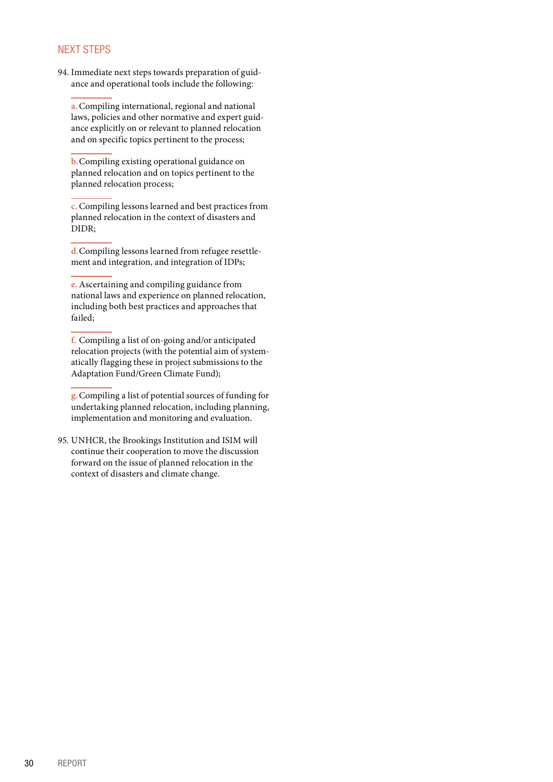#### <span id="page-29-0"></span>NEXT STEPS

94. Immediate next steps towards preparation of guidance and operational tools include the following:

**a.**Compiling international, regional and national laws, policies and other normative and expert guidance explicitly on or relevant to planned relocation and on specific topics pertinent to the process;

**b.**Compiling existing operational guidance on planned relocation and on topics pertinent to the planned relocation process;

**c.**Compiling lessons learned and best practices from planned relocation in the context of disasters and DIDR;

**d.**Compiling lessons learned from refugee resettlement and integration, and integration of IDPs;

**e.**Ascertaining and compiling guidance from national laws and experience on planned relocation, including both best practices and approaches that failed;

**f.** Compiling a list of on-going and/or anticipated relocation projects (with the potential aim of systematically flagging these in project submissions to the Adaptation Fund/Green Climate Fund);

**g.**Compiling a list of potential sources of funding for undertaking planned relocation, including planning, implementation and monitoring and evaluation.

95. UNHCR, the Brookings Institution and ISIM will continue their cooperation to move the discussion forward on the issue of planned relocation in the context of disasters and climate change.